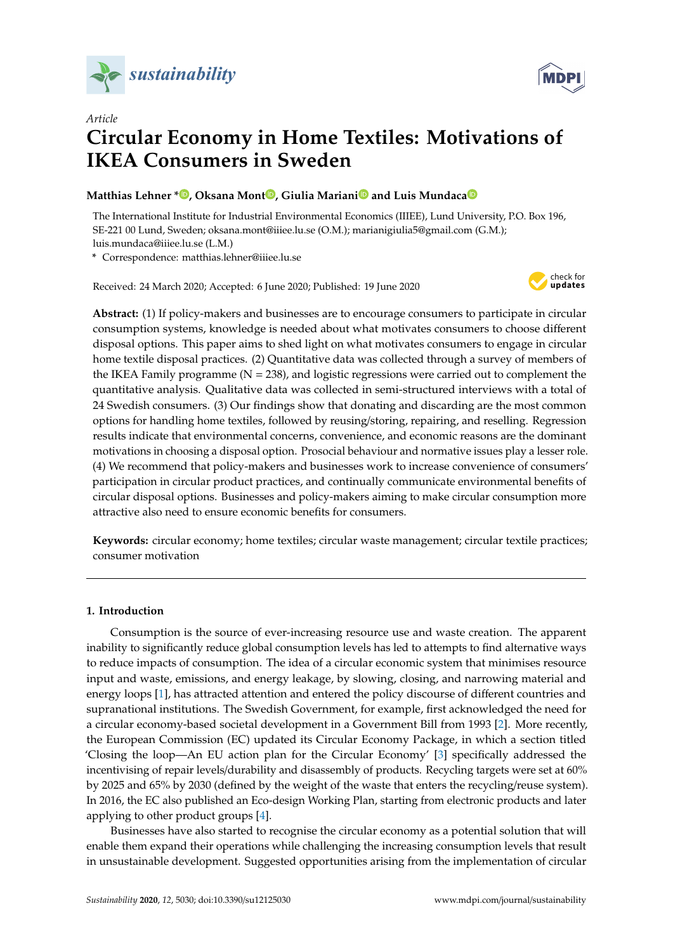



# *Article* **Circular Economy in Home Textiles: Motivations of IKEA Consumers in Sweden**

# **Matthias Lehner [\\*](https://orcid.org/0000-0003-1571-7453) , Oksana Mont [,](https://orcid.org/0000-0002-8063-4294) Giulia Marian[i](https://orcid.org/0000-0001-9979-6114) and Luis Mundac[a](https://orcid.org/0000-0002-1090-7744)**

The International Institute for Industrial Environmental Economics (IIIEE), Lund University, P.O. Box 196, SE-221 00 Lund, Sweden; oksana.mont@iiiee.lu.se (O.M.); marianigiulia5@gmail.com (G.M.); luis.mundaca@iiiee.lu.se (L.M.)

**\*** Correspondence: matthias.lehner@iiiee.lu.se

Received: 24 March 2020; Accepted: 6 June 2020; Published: 19 June 2020



**Abstract:** (1) If policy-makers and businesses are to encourage consumers to participate in circular consumption systems, knowledge is needed about what motivates consumers to choose different disposal options. This paper aims to shed light on what motivates consumers to engage in circular home textile disposal practices. (2) Quantitative data was collected through a survey of members of the IKEA Family programme ( $N = 238$ ), and logistic regressions were carried out to complement the quantitative analysis. Qualitative data was collected in semi-structured interviews with a total of 24 Swedish consumers. (3) Our findings show that donating and discarding are the most common options for handling home textiles, followed by reusing/storing, repairing, and reselling. Regression results indicate that environmental concerns, convenience, and economic reasons are the dominant motivations in choosing a disposal option. Prosocial behaviour and normative issues play a lesser role. (4) We recommend that policy-makers and businesses work to increase convenience of consumers' participation in circular product practices, and continually communicate environmental benefits of circular disposal options. Businesses and policy-makers aiming to make circular consumption more attractive also need to ensure economic benefits for consumers.

**Keywords:** circular economy; home textiles; circular waste management; circular textile practices; consumer motivation

## **1. Introduction**

Consumption is the source of ever-increasing resource use and waste creation. The apparent inability to significantly reduce global consumption levels has led to attempts to find alternative ways to reduce impacts of consumption. The idea of a circular economic system that minimises resource input and waste, emissions, and energy leakage, by slowing, closing, and narrowing material and energy loops [\[1\]](#page-19-0), has attracted attention and entered the policy discourse of different countries and supranational institutions. The Swedish Government, for example, first acknowledged the need for a circular economy-based societal development in a Government Bill from 1993 [\[2\]](#page-19-1). More recently, the European Commission (EC) updated its Circular Economy Package, in which a section titled 'Closing the loop—An EU action plan for the Circular Economy' [\[3\]](#page-19-2) specifically addressed the incentivising of repair levels/durability and disassembly of products. Recycling targets were set at 60% by 2025 and 65% by 2030 (defined by the weight of the waste that enters the recycling/reuse system). In 2016, the EC also published an Eco-design Working Plan, starting from electronic products and later applying to other product groups [\[4\]](#page-19-3).

Businesses have also started to recognise the circular economy as a potential solution that will enable them expand their operations while challenging the increasing consumption levels that result in unsustainable development. Suggested opportunities arising from the implementation of circular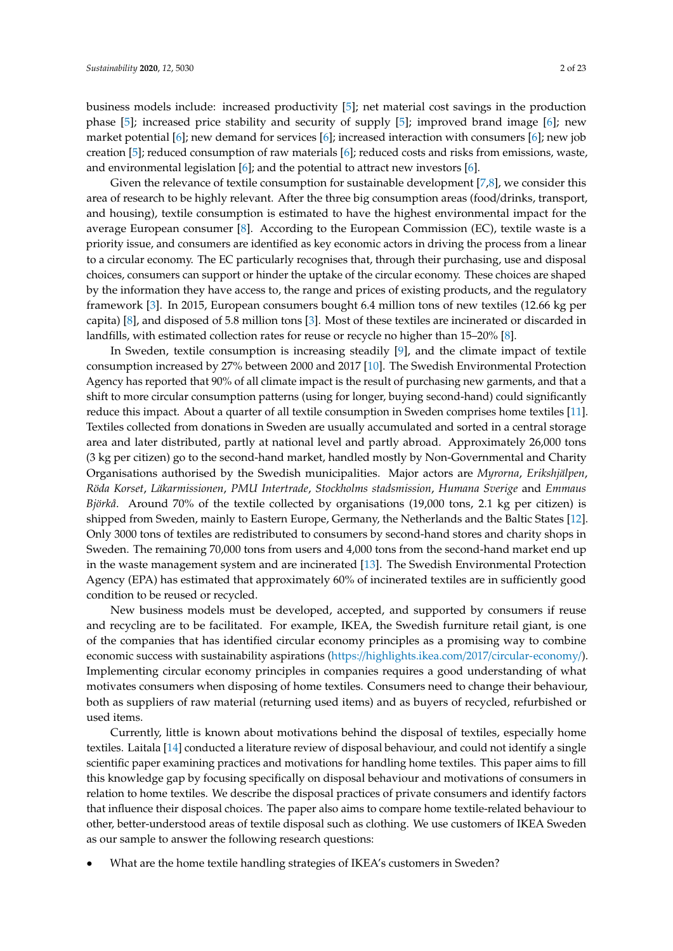business models include: increased productivity [\[5\]](#page-19-4); net material cost savings in the production phase [\[5\]](#page-19-4); increased price stability and security of supply [\[5\]](#page-19-4); improved brand image [\[6\]](#page-19-5); new market potential [\[6\]](#page-19-5); new demand for services [\[6\]](#page-19-5); increased interaction with consumers [\[6\]](#page-19-5); new job creation [\[5\]](#page-19-4); reduced consumption of raw materials [\[6\]](#page-19-5); reduced costs and risks from emissions, waste, and environmental legislation [\[6\]](#page-19-5); and the potential to attract new investors [\[6\]](#page-19-5).

Given the relevance of textile consumption for sustainable development [\[7](#page-19-6)[,8\]](#page-19-7), we consider this area of research to be highly relevant. After the three big consumption areas (food/drinks, transport, and housing), textile consumption is estimated to have the highest environmental impact for the average European consumer [\[8\]](#page-19-7). According to the European Commission (EC), textile waste is a priority issue, and consumers are identified as key economic actors in driving the process from a linear to a circular economy. The EC particularly recognises that, through their purchasing, use and disposal choices, consumers can support or hinder the uptake of the circular economy. These choices are shaped by the information they have access to, the range and prices of existing products, and the regulatory framework [\[3\]](#page-19-2). In 2015, European consumers bought 6.4 million tons of new textiles (12.66 kg per capita) [\[8\]](#page-19-7), and disposed of 5.8 million tons [\[3\]](#page-19-2). Most of these textiles are incinerated or discarded in landfills, with estimated collection rates for reuse or recycle no higher than 15–20% [\[8\]](#page-19-7).

In Sweden, textile consumption is increasing steadily [\[9\]](#page-19-8), and the climate impact of textile consumption increased by 27% between 2000 and 2017 [\[10\]](#page-20-0). The Swedish Environmental Protection Agency has reported that 90% of all climate impact is the result of purchasing new garments, and that a shift to more circular consumption patterns (using for longer, buying second-hand) could significantly reduce this impact. About a quarter of all textile consumption in Sweden comprises home textiles [\[11\]](#page-20-1). Textiles collected from donations in Sweden are usually accumulated and sorted in a central storage area and later distributed, partly at national level and partly abroad. Approximately 26,000 tons (3 kg per citizen) go to the second-hand market, handled mostly by Non-Governmental and Charity Organisations authorised by the Swedish municipalities. Major actors are *Myrorna*, *Erikshjälpen*, *Röda Korset*, *Läkarmissionen*, *PMU Intertrade*, *Stockholms stadsmission*, *Humana Sverige* and *Emmaus Björkå*. Around 70% of the textile collected by organisations (19,000 tons, 2.1 kg per citizen) is shipped from Sweden, mainly to Eastern Europe, Germany, the Netherlands and the Baltic States [\[12\]](#page-20-2). Only 3000 tons of textiles are redistributed to consumers by second-hand stores and charity shops in Sweden. The remaining 70,000 tons from users and 4,000 tons from the second-hand market end up in the waste management system and are incinerated [\[13\]](#page-20-3). The Swedish Environmental Protection Agency (EPA) has estimated that approximately 60% of incinerated textiles are in sufficiently good condition to be reused or recycled.

New business models must be developed, accepted, and supported by consumers if reuse and recycling are to be facilitated. For example, IKEA, the Swedish furniture retail giant, is one of the companies that has identified circular economy principles as a promising way to combine economic success with sustainability aspirations (https://[highlights.ikea.com](https://highlights.ikea.com/2017/circular-economy/)/2017/circular-economy/). Implementing circular economy principles in companies requires a good understanding of what motivates consumers when disposing of home textiles. Consumers need to change their behaviour, both as suppliers of raw material (returning used items) and as buyers of recycled, refurbished or used items.

Currently, little is known about motivations behind the disposal of textiles, especially home textiles. Laitala [\[14\]](#page-20-4) conducted a literature review of disposal behaviour, and could not identify a single scientific paper examining practices and motivations for handling home textiles. This paper aims to fill this knowledge gap by focusing specifically on disposal behaviour and motivations of consumers in relation to home textiles. We describe the disposal practices of private consumers and identify factors that influence their disposal choices. The paper also aims to compare home textile-related behaviour to other, better-understood areas of textile disposal such as clothing. We use customers of IKEA Sweden as our sample to answer the following research questions:

• What are the home textile handling strategies of IKEA's customers in Sweden?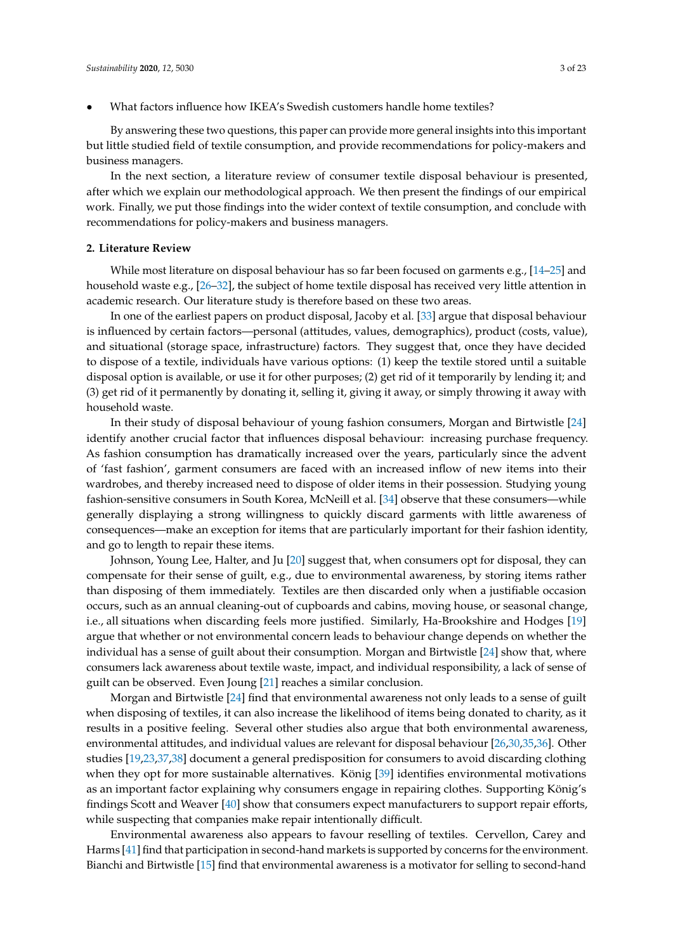• What factors influence how IKEA's Swedish customers handle home textiles?

By answering these two questions, this paper can provide more general insights into this important but little studied field of textile consumption, and provide recommendations for policy-makers and business managers.

In the next section, a literature review of consumer textile disposal behaviour is presented, after which we explain our methodological approach. We then present the findings of our empirical work. Finally, we put those findings into the wider context of textile consumption, and conclude with recommendations for policy-makers and business managers.

#### **2. Literature Review**

While most literature on disposal behaviour has so far been focused on garments e.g., [\[14–](#page-20-4)[25\]](#page-20-5) and household waste e.g., [\[26–](#page-20-6)[32\]](#page-20-7), the subject of home textile disposal has received very little attention in academic research. Our literature study is therefore based on these two areas.

In one of the earliest papers on product disposal, Jacoby et al. [\[33\]](#page-20-8) argue that disposal behaviour is influenced by certain factors—personal (attitudes, values, demographics), product (costs, value), and situational (storage space, infrastructure) factors. They suggest that, once they have decided to dispose of a textile, individuals have various options: (1) keep the textile stored until a suitable disposal option is available, or use it for other purposes; (2) get rid of it temporarily by lending it; and (3) get rid of it permanently by donating it, selling it, giving it away, or simply throwing it away with household waste.

In their study of disposal behaviour of young fashion consumers, Morgan and Birtwistle [\[24\]](#page-20-9) identify another crucial factor that influences disposal behaviour: increasing purchase frequency. As fashion consumption has dramatically increased over the years, particularly since the advent of 'fast fashion', garment consumers are faced with an increased inflow of new items into their wardrobes, and thereby increased need to dispose of older items in their possession. Studying young fashion-sensitive consumers in South Korea, McNeill et al. [\[34\]](#page-20-10) observe that these consumers—while generally displaying a strong willingness to quickly discard garments with little awareness of consequences—make an exception for items that are particularly important for their fashion identity, and go to length to repair these items.

Johnson, Young Lee, Halter, and Ju [\[20\]](#page-20-11) suggest that, when consumers opt for disposal, they can compensate for their sense of guilt, e.g., due to environmental awareness, by storing items rather than disposing of them immediately. Textiles are then discarded only when a justifiable occasion occurs, such as an annual cleaning-out of cupboards and cabins, moving house, or seasonal change, i.e., all situations when discarding feels more justified. Similarly, Ha-Brookshire and Hodges [\[19\]](#page-20-12) argue that whether or not environmental concern leads to behaviour change depends on whether the individual has a sense of guilt about their consumption. Morgan and Birtwistle [\[24\]](#page-20-9) show that, where consumers lack awareness about textile waste, impact, and individual responsibility, a lack of sense of guilt can be observed. Even Joung [\[21\]](#page-20-13) reaches a similar conclusion.

Morgan and Birtwistle [\[24\]](#page-20-9) find that environmental awareness not only leads to a sense of guilt when disposing of textiles, it can also increase the likelihood of items being donated to charity, as it results in a positive feeling. Several other studies also argue that both environmental awareness, environmental attitudes, and individual values are relevant for disposal behaviour [\[26,](#page-20-6)[30](#page-20-14)[,35](#page-21-0)[,36\]](#page-21-1). Other studies [\[19](#page-20-12)[,23](#page-20-15)[,37](#page-21-2)[,38\]](#page-21-3) document a general predisposition for consumers to avoid discarding clothing when they opt for more sustainable alternatives. König [\[39\]](#page-21-4) identifies environmental motivations as an important factor explaining why consumers engage in repairing clothes. Supporting König's findings Scott and Weaver [\[40\]](#page-21-5) show that consumers expect manufacturers to support repair efforts, while suspecting that companies make repair intentionally difficult.

Environmental awareness also appears to favour reselling of textiles. Cervellon, Carey and Harms [\[41\]](#page-21-6) find that participation in second-hand markets is supported by concerns for the environment. Bianchi and Birtwistle [\[15\]](#page-20-16) find that environmental awareness is a motivator for selling to second-hand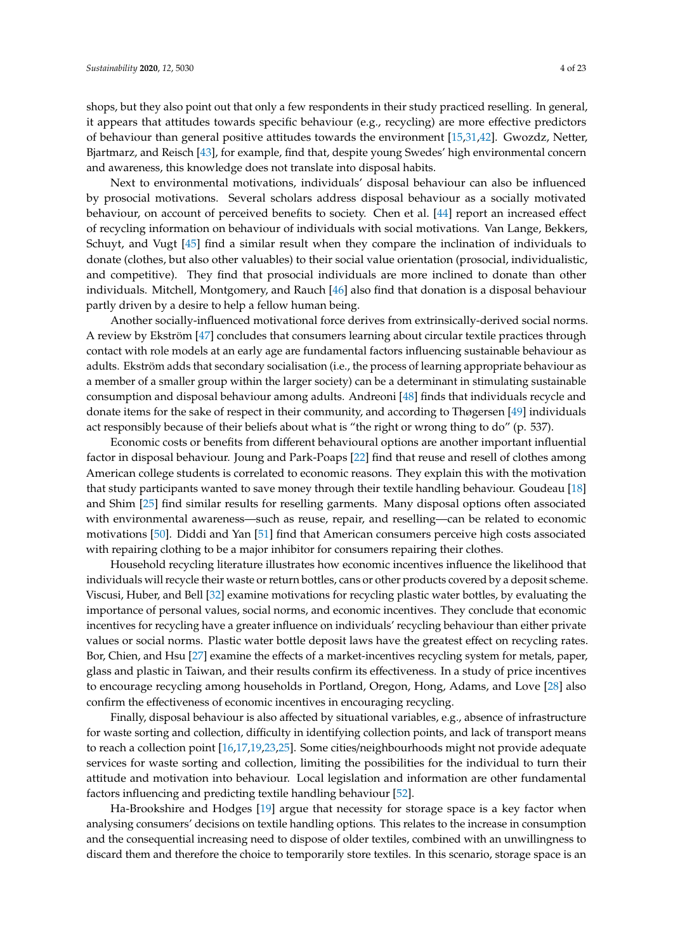shops, but they also point out that only a few respondents in their study practiced reselling. In general, it appears that attitudes towards specific behaviour (e.g., recycling) are more effective predictors of behaviour than general positive attitudes towards the environment [\[15](#page-20-16)[,31,](#page-20-17)[42\]](#page-21-7). Gwozdz, Netter, Bjartmarz, and Reisch [\[43\]](#page-21-8), for example, find that, despite young Swedes' high environmental concern and awareness, this knowledge does not translate into disposal habits.

Next to environmental motivations, individuals' disposal behaviour can also be influenced by prosocial motivations. Several scholars address disposal behaviour as a socially motivated behaviour, on account of perceived benefits to society. Chen et al. [\[44\]](#page-21-9) report an increased effect of recycling information on behaviour of individuals with social motivations. Van Lange, Bekkers, Schuyt, and Vugt [\[45\]](#page-21-10) find a similar result when they compare the inclination of individuals to donate (clothes, but also other valuables) to their social value orientation (prosocial, individualistic, and competitive). They find that prosocial individuals are more inclined to donate than other individuals. Mitchell, Montgomery, and Rauch [\[46\]](#page-21-11) also find that donation is a disposal behaviour partly driven by a desire to help a fellow human being.

Another socially-influenced motivational force derives from extrinsically-derived social norms. A review by Ekström [\[47\]](#page-21-12) concludes that consumers learning about circular textile practices through contact with role models at an early age are fundamental factors influencing sustainable behaviour as adults. Ekström adds that secondary socialisation (i.e., the process of learning appropriate behaviour as a member of a smaller group within the larger society) can be a determinant in stimulating sustainable consumption and disposal behaviour among adults. Andreoni [\[48\]](#page-21-13) finds that individuals recycle and donate items for the sake of respect in their community, and according to Thøgersen [\[49\]](#page-21-14) individuals act responsibly because of their beliefs about what is "the right or wrong thing to do" (p. 537).

Economic costs or benefits from different behavioural options are another important influential factor in disposal behaviour. Joung and Park-Poaps [\[22\]](#page-20-18) find that reuse and resell of clothes among American college students is correlated to economic reasons. They explain this with the motivation that study participants wanted to save money through their textile handling behaviour. Goudeau [\[18\]](#page-20-19) and Shim [\[25\]](#page-20-5) find similar results for reselling garments. Many disposal options often associated with environmental awareness—such as reuse, repair, and reselling—can be related to economic motivations [\[50\]](#page-21-15). Diddi and Yan [\[51\]](#page-21-16) find that American consumers perceive high costs associated with repairing clothing to be a major inhibitor for consumers repairing their clothes.

Household recycling literature illustrates how economic incentives influence the likelihood that individuals will recycle their waste or return bottles, cans or other products covered by a deposit scheme. Viscusi, Huber, and Bell [\[32\]](#page-20-7) examine motivations for recycling plastic water bottles, by evaluating the importance of personal values, social norms, and economic incentives. They conclude that economic incentives for recycling have a greater influence on individuals' recycling behaviour than either private values or social norms. Plastic water bottle deposit laws have the greatest effect on recycling rates. Bor, Chien, and Hsu [\[27\]](#page-20-20) examine the effects of a market-incentives recycling system for metals, paper, glass and plastic in Taiwan, and their results confirm its effectiveness. In a study of price incentives to encourage recycling among households in Portland, Oregon, Hong, Adams, and Love [\[28\]](#page-20-21) also confirm the effectiveness of economic incentives in encouraging recycling.

Finally, disposal behaviour is also affected by situational variables, e.g., absence of infrastructure for waste sorting and collection, difficulty in identifying collection points, and lack of transport means to reach a collection point [\[16](#page-20-22)[,17](#page-20-23)[,19](#page-20-12)[,23](#page-20-15)[,25\]](#page-20-5). Some cities/neighbourhoods might not provide adequate services for waste sorting and collection, limiting the possibilities for the individual to turn their attitude and motivation into behaviour. Local legislation and information are other fundamental factors influencing and predicting textile handling behaviour [\[52\]](#page-21-17).

Ha-Brookshire and Hodges [\[19\]](#page-20-12) argue that necessity for storage space is a key factor when analysing consumers' decisions on textile handling options. This relates to the increase in consumption and the consequential increasing need to dispose of older textiles, combined with an unwillingness to discard them and therefore the choice to temporarily store textiles. In this scenario, storage space is an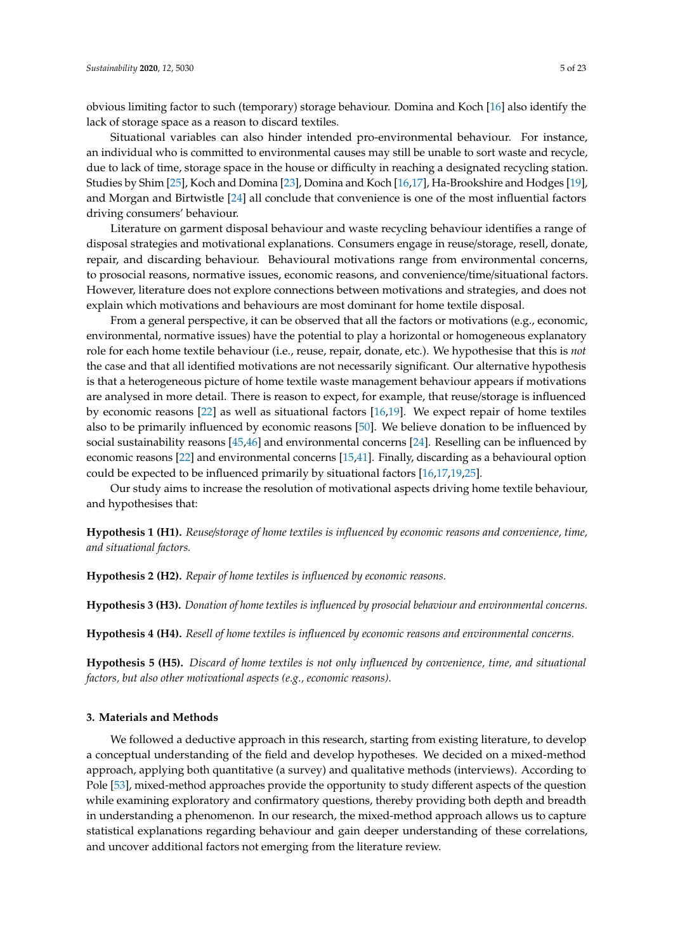obvious limiting factor to such (temporary) storage behaviour. Domina and Koch [\[16\]](#page-20-22) also identify the lack of storage space as a reason to discard textiles.

Situational variables can also hinder intended pro-environmental behaviour. For instance, an individual who is committed to environmental causes may still be unable to sort waste and recycle, due to lack of time, storage space in the house or difficulty in reaching a designated recycling station. Studies by Shim [\[25\]](#page-20-5), Koch and Domina [\[23\]](#page-20-15), Domina and Koch [\[16](#page-20-22)[,17\]](#page-20-23), Ha-Brookshire and Hodges [\[19\]](#page-20-12), and Morgan and Birtwistle [\[24\]](#page-20-9) all conclude that convenience is one of the most influential factors driving consumers' behaviour.

Literature on garment disposal behaviour and waste recycling behaviour identifies a range of disposal strategies and motivational explanations. Consumers engage in reuse/storage, resell, donate, repair, and discarding behaviour. Behavioural motivations range from environmental concerns, to prosocial reasons, normative issues, economic reasons, and convenience/time/situational factors. However, literature does not explore connections between motivations and strategies, and does not explain which motivations and behaviours are most dominant for home textile disposal.

From a general perspective, it can be observed that all the factors or motivations (e.g., economic, environmental, normative issues) have the potential to play a horizontal or homogeneous explanatory role for each home textile behaviour (i.e., reuse, repair, donate, etc.). We hypothesise that this is *not* the case and that all identified motivations are not necessarily significant. Our alternative hypothesis is that a heterogeneous picture of home textile waste management behaviour appears if motivations are analysed in more detail. There is reason to expect, for example, that reuse/storage is influenced by economic reasons [\[22\]](#page-20-18) as well as situational factors [\[16,](#page-20-22)[19\]](#page-20-12). We expect repair of home textiles also to be primarily influenced by economic reasons [\[50\]](#page-21-15). We believe donation to be influenced by social sustainability reasons [\[45](#page-21-10)[,46\]](#page-21-11) and environmental concerns [\[24\]](#page-20-9). Reselling can be influenced by economic reasons [\[22\]](#page-20-18) and environmental concerns [\[15,](#page-20-16)[41\]](#page-21-6). Finally, discarding as a behavioural option could be expected to be influenced primarily by situational factors [\[16](#page-20-22)[,17,](#page-20-23)[19,](#page-20-12)[25\]](#page-20-5).

Our study aims to increase the resolution of motivational aspects driving home textile behaviour, and hypothesises that:

**Hypothesis 1 (H1).** *Reuse*/*storage of home textiles is influenced by economic reasons and convenience, time, and situational factors.*

**Hypothesis 2 (H2).** *Repair of home textiles is influenced by economic reasons.*

**Hypothesis 3 (H3).** *Donation of home textiles is influenced by prosocial behaviour and environmental concerns.*

**Hypothesis 4 (H4).** *Resell of home textiles is influenced by economic reasons and environmental concerns.*

**Hypothesis 5 (H5).** *Discard of home textiles is not only influenced by convenience, time, and situational factors, but also other motivational aspects (e.g., economic reasons).*

### **3. Materials and Methods**

We followed a deductive approach in this research, starting from existing literature, to develop a conceptual understanding of the field and develop hypotheses. We decided on a mixed-method approach, applying both quantitative (a survey) and qualitative methods (interviews). According to Pole [\[53\]](#page-21-18), mixed-method approaches provide the opportunity to study different aspects of the question while examining exploratory and confirmatory questions, thereby providing both depth and breadth in understanding a phenomenon. In our research, the mixed-method approach allows us to capture statistical explanations regarding behaviour and gain deeper understanding of these correlations, and uncover additional factors not emerging from the literature review.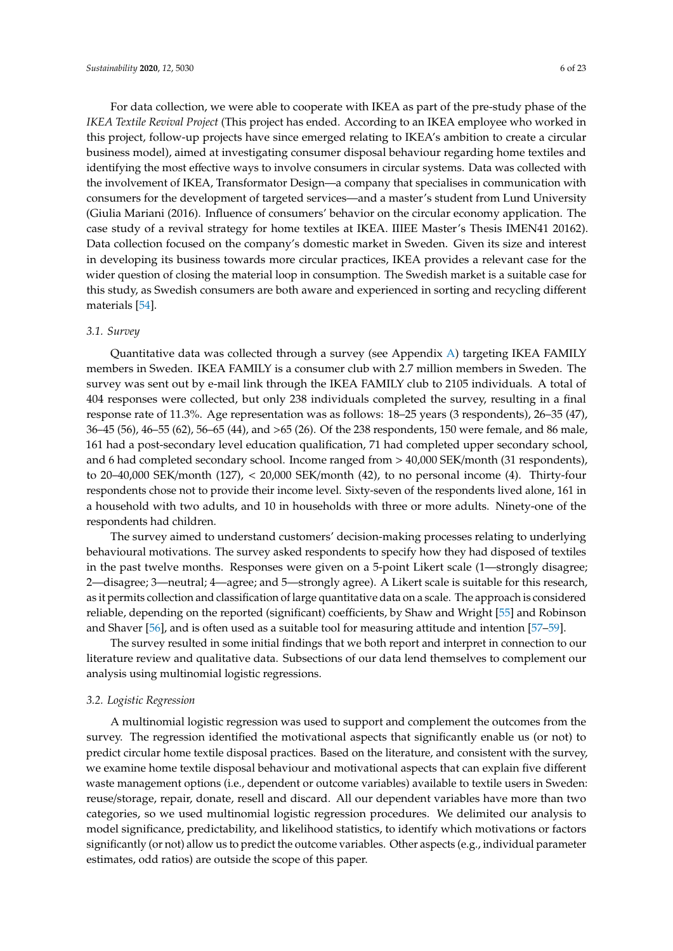For data collection, we were able to cooperate with IKEA as part of the pre-study phase of the *IKEA Textile Revival Project* (This project has ended. According to an IKEA employee who worked in this project, follow-up projects have since emerged relating to IKEA's ambition to create a circular business model), aimed at investigating consumer disposal behaviour regarding home textiles and identifying the most effective ways to involve consumers in circular systems. Data was collected with the involvement of IKEA, Transformator Design—a company that specialises in communication with consumers for the development of targeted services—and a master's student from Lund University (Giulia Mariani (2016). Influence of consumers' behavior on the circular economy application. The case study of a revival strategy for home textiles at IKEA. IIIEE Master's Thesis IMEN41 20162). Data collection focused on the company's domestic market in Sweden. Given its size and interest in developing its business towards more circular practices, IKEA provides a relevant case for the wider question of closing the material loop in consumption. The Swedish market is a suitable case for this study, as Swedish consumers are both aware and experienced in sorting and recycling different materials [\[54\]](#page-21-19).

#### *3.1. Survey*

Quantitative data was collected through a survey (see Appendix [A\)](#page-14-0) targeting IKEA FAMILY members in Sweden. IKEA FAMILY is a consumer club with 2.7 million members in Sweden. The survey was sent out by e-mail link through the IKEA FAMILY club to 2105 individuals. A total of 404 responses were collected, but only 238 individuals completed the survey, resulting in a final response rate of 11.3%. Age representation was as follows: 18–25 years (3 respondents), 26–35 (47), 36–45 (56), 46–55 (62), 56–65 (44), and >65 (26). Of the 238 respondents, 150 were female, and 86 male, 161 had a post-secondary level education qualification, 71 had completed upper secondary school, and 6 had completed secondary school. Income ranged from > 40,000 SEK/month (31 respondents), to 20–40,000 SEK/month (127), < 20,000 SEK/month (42), to no personal income (4). Thirty-four respondents chose not to provide their income level. Sixty-seven of the respondents lived alone, 161 in a household with two adults, and 10 in households with three or more adults. Ninety-one of the respondents had children.

The survey aimed to understand customers' decision-making processes relating to underlying behavioural motivations. The survey asked respondents to specify how they had disposed of textiles in the past twelve months. Responses were given on a 5-point Likert scale (1—strongly disagree; 2—disagree; 3—neutral; 4—agree; and 5—strongly agree). A Likert scale is suitable for this research, as it permits collection and classification of large quantitative data on a scale. The approach is considered reliable, depending on the reported (significant) coefficients, by Shaw and Wright [\[55\]](#page-21-20) and Robinson and Shaver [\[56\]](#page-21-21), and is often used as a suitable tool for measuring attitude and intention [\[57](#page-21-22)[–59\]](#page-21-23).

The survey resulted in some initial findings that we both report and interpret in connection to our literature review and qualitative data. Subsections of our data lend themselves to complement our analysis using multinomial logistic regressions.

## *3.2. Logistic Regression*

A multinomial logistic regression was used to support and complement the outcomes from the survey. The regression identified the motivational aspects that significantly enable us (or not) to predict circular home textile disposal practices. Based on the literature, and consistent with the survey, we examine home textile disposal behaviour and motivational aspects that can explain five different waste management options (i.e., dependent or outcome variables) available to textile users in Sweden: reuse/storage, repair, donate, resell and discard. All our dependent variables have more than two categories, so we used multinomial logistic regression procedures. We delimited our analysis to model significance, predictability, and likelihood statistics, to identify which motivations or factors significantly (or not) allow us to predict the outcome variables. Other aspects (e.g., individual parameter estimates, odd ratios) are outside the scope of this paper.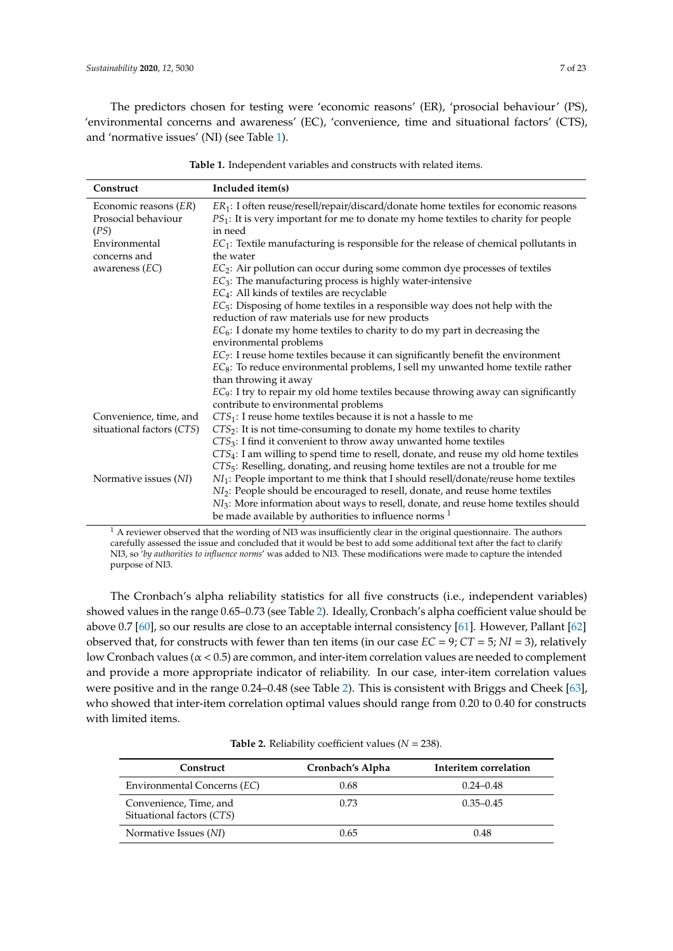The predictors chosen for testing were 'economic reasons' (ER), 'prosocial behaviour' (PS), 'environmental concerns and awareness' (EC), 'convenience, time and situational factors' (CTS), and 'normative issues' (NI) (see Table [1\)](#page-6-0).

<span id="page-6-0"></span>

| Construct                 | Included item(s)                                                                                |
|---------------------------|-------------------------------------------------------------------------------------------------|
| Economic reasons (ER)     | $ER_1$ : I often reuse/resell/repair/discard/donate home textiles for economic reasons          |
| Prosocial behaviour       | $PS_1$ : It is very important for me to donate my home textiles to charity for people           |
| (PS)                      | in need                                                                                         |
| Environmental             | $EC_1$ : Textile manufacturing is responsible for the release of chemical pollutants in         |
| concerns and              | the water                                                                                       |
| awareness $(EC)$          | $EC_2$ : Air pollution can occur during some common dye processes of textiles                   |
|                           | $EC_3$ : The manufacturing process is highly water-intensive                                    |
|                           | $EC_4$ : All kinds of textiles are recyclable                                                   |
|                           | $EC_5$ : Disposing of home textiles in a responsible way does not help with the                 |
|                           | reduction of raw materials use for new products                                                 |
|                           | $EC_6$ : I donate my home textiles to charity to do my part in decreasing the                   |
|                           | environmental problems                                                                          |
|                           | $EC_7$ : I reuse home textiles because it can significantly benefit the environment             |
|                           | $EC_8$ : To reduce environmental problems, I sell my unwanted home textile rather               |
|                           | than throwing it away                                                                           |
|                           | $EC9$ : I try to repair my old home textiles because throwing away can significantly            |
|                           | contribute to environmental problems                                                            |
| Convenience, time, and    | $CTS_1$ : I reuse home textiles because it is not a hassle to me                                |
| situational factors (CTS) | $CTS2$ : It is not time-consuming to donate my home textiles to charity                         |
|                           | $CTS3$ : I find it convenient to throw away unwanted home textiles                              |
|                           | $CTS_4$ : I am willing to spend time to resell, donate, and reuse my old home textiles          |
|                           | $CTS5$ : Reselling, donating, and reusing home textiles are not a trouble for me                |
| Normative issues (NI)     | NI <sub>1</sub> : People important to me think that I should resell/donate/reuse home textiles  |
|                           | NI <sub>2</sub> : People should be encouraged to resell, donate, and reuse home textiles        |
|                           | NI <sub>3</sub> : More information about ways to resell, donate, and reuse home textiles should |
|                           | be made available by authorities to influence norms <sup>1</sup>                                |

**Table 1.** Independent variables and constructs with related items.

 $<sup>1</sup>$  A reviewer observed that the wording of NI3 was insufficiently clear in the original questionnaire. The authors</sup> carefully assessed the issue and concluded that it would be best to add some additional text after the fact to clarify NI3, so '*by authorities to influence norms*' was added to NI3. These modifications were made to capture the intended purpose of NI3.

The Cronbach's alpha reliability statistics for all five constructs (i.e., independent variables) showed values in the range 0.65–0.73 (see Table [2\)](#page-6-1). Ideally, Cronbach's alpha coefficient value should be above 0.7 [\[60\]](#page-21-24), so our results are close to an acceptable internal consistency [\[61\]](#page-22-0). However, Pallant [\[62\]](#page-22-1) observed that, for constructs with fewer than ten items (in our case *EC* = 9; *CT* = 5; *NI* = 3), relatively low Cronbach values ( $\alpha$  < 0.5) are common, and inter-item correlation values are needed to complement and provide a more appropriate indicator of reliability. In our case, inter-item correlation values were positive and in the range 0.24–0.48 (see Table [2\)](#page-6-1). This is consistent with Briggs and Cheek [\[63\]](#page-22-2), who showed that inter-item correlation optimal values should range from 0.20 to 0.40 for constructs with limited items.

|  |  | <b>Table 2.</b> Reliability coefficient values ( $N = 238$ ). |  |
|--|--|---------------------------------------------------------------|--|
|--|--|---------------------------------------------------------------|--|

<span id="page-6-1"></span>

| Construct                                           | Cronbach's Alpha | Interitem correlation |
|-----------------------------------------------------|------------------|-----------------------|
| Environmental Concerns (EC)                         | 0.68             | $0.24 - 0.48$         |
| Convenience, Time, and<br>Situational factors (CTS) | 0.73             | $0.35 - 0.45$         |
| Normative Issues (NI)                               | 0.65             | 0.48                  |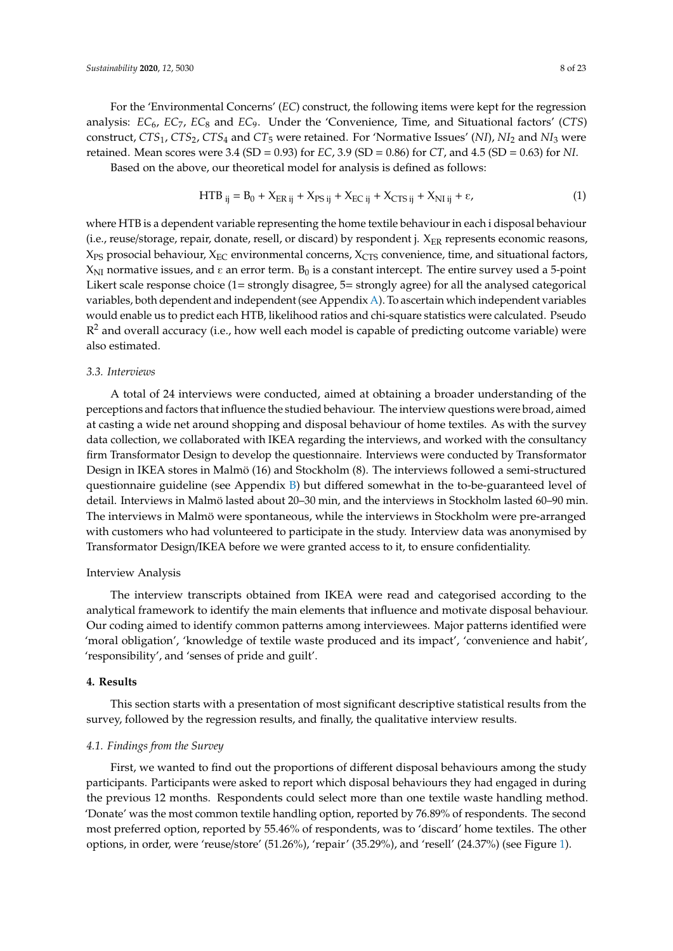For the 'Environmental Concerns' (*EC*) construct, the following items were kept for the regression analysis: *EC*6, *EC*7, *EC*<sup>8</sup> and *EC*9. Under the 'Convenience, Time, and Situational factors' (*CTS*) construct, *CTS*1, *CTS*2, *CTS*<sup>4</sup> and *CT*<sup>5</sup> were retained. For 'Normative Issues' (*NI*), *NI*<sup>2</sup> and *NI*<sup>3</sup> were retained. Mean scores were 3.4 (SD = 0.93) for *EC*, 3.9 (SD = 0.86) for *CT*, and 4.5 (SD = 0.63) for *NI*. Based on the above, our theoretical model for analysis is defined as follows:

 $HTB_{ij} = B_0 + X_{ER\,ij} + X_{PS\,ij} + X_{EC\,ij} + X_{CTS\,ij} + X_{NI\,ij} + \varepsilon,$  (1)

where HTB is a dependent variable representing the home textile behaviour in each i disposal behaviour (i.e., reuse/storage, repair, donate, resell, or discard) by respondent j.  $X_{ER}$  represents economic reasons,  $X_{PS}$  prosocial behaviour,  $X_{EC}$  environmental concerns,  $X_{CTS}$  convenience, time, and situational factors,  $X_{\rm NI}$  normative issues, and  $\varepsilon$  an error term. B<sub>0</sub> is a constant intercept. The entire survey used a 5-point Likert scale response choice (1= strongly disagree, 5= strongly agree) for all the analysed categorical variables, both dependent and independent (see Appendix [A\)](#page-14-0). To ascertain which independent variables would enable us to predict each HTB, likelihood ratios and chi-square statistics were calculated. Pseudo  $\mathbb{R}^2$  and overall accuracy (i.e., how well each model is capable of predicting outcome variable) were also estimated.

## *3.3. Interviews*

A total of 24 interviews were conducted, aimed at obtaining a broader understanding of the perceptions and factors that influence the studied behaviour. The interview questions were broad, aimed at casting a wide net around shopping and disposal behaviour of home textiles. As with the survey data collection, we collaborated with IKEA regarding the interviews, and worked with the consultancy firm Transformator Design to develop the questionnaire. Interviews were conducted by Transformator Design in IKEA stores in Malmö (16) and Stockholm (8). The interviews followed a semi-structured questionnaire guideline (see Appendix  $B$ ) but differed somewhat in the to-be-guaranteed level of detail. Interviews in Malmö lasted about 20–30 min, and the interviews in Stockholm lasted 60–90 min. The interviews in Malmö were spontaneous, while the interviews in Stockholm were pre-arranged with customers who had volunteered to participate in the study. Interview data was anonymised by Transformator Design/IKEA before we were granted access to it, to ensure confidentiality.

## Interview Analysis

The interview transcripts obtained from IKEA were read and categorised according to the analytical framework to identify the main elements that influence and motivate disposal behaviour. Our coding aimed to identify common patterns among interviewees. Major patterns identified were 'moral obligation', 'knowledge of textile waste produced and its impact', 'convenience and habit', 'responsibility', and 'senses of pride and guilt'.

## **4. Results**

This section starts with a presentation of most significant descriptive statistical results from the survey, followed by the regression results, and finally, the qualitative interview results.

## *4.1. Findings from the Survey*

First, we wanted to find out the proportions of different disposal behaviours among the study participants. Participants were asked to report which disposal behaviours they had engaged in during the previous 12 months. Respondents could select more than one textile waste handling method. 'Donate' was the most common textile handling option, reported by 76.89% of respondents. The second most preferred option, reported by 55.46% of respondents, was to 'discard' home textiles. The other options, in order, were 'reuse/store' (51.26%), 'repair' (35.29%), and 'resell' (24.37%) (see Figure [1\)](#page-8-0).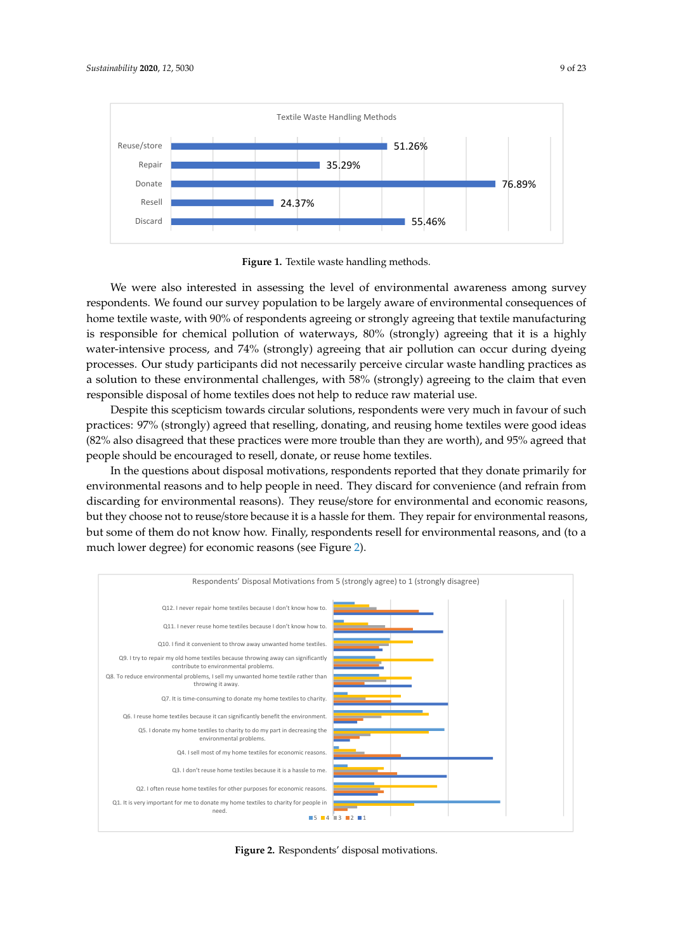<span id="page-8-0"></span>

**Figure 1.** Textile waste handling methods. **Figure 1.** Textile waste handling methods.

We were also interested in assessing the level of environmental awareness among survey We were also interested in assessing the level of environmental awareness among survey respondents. We found our survey population to be largely aware of environmental consequences of respondents. We found our survey population to be largely aware of environmental consequences of home textile waste, with 90% of respondents agreeing or strongly agreeing that textile manufacturing home textile waste, with 90% of respondents agreeing or strongly agreeing that textile manufacturing is responsible for chemical pollution of waterways, 80% (strongly) agreeing that it is a highly water-intensive process, and 74% (strongly) agreeing that air pollution can occur during dyeing processes. Our study participants did not necessarily perceive circular waste handling practices as a solution to these environmental challenges, with 58% (strongly) agreeing to the claim that even responsible disposal of home textiles does not help to reduce raw material use.

practices: 97% (strongly) agreed that reselling, donating, and reusing home textiles were good ideas (82% also disagreed that these practices were more trouble than they are worth), and 95% agreed that people should be encouraged to resell, donate, or reuse home textiles. Despite this scepticism towards circular solutions, respondents were very much in favour of such

In the questions about disposal motivations, respondents reported that they donate primarily for discarding for environmental reasons). They reuse/store for environmental and economic reasons, but they choose not to reuse/store because it is a hassle for them. They repair for environmental reasons, environmental reasons and to help people in need. They discard for convenience (and refrain from *Sustainability* **2020**, *12*, x FOR PEER REVIEW 10 of 24 but some of them do not know how. Finally, respondents resell for environmental reasons, and (to a much lower degree) for economic reasons (see Figure [2\)](#page-8-1).

<span id="page-8-1"></span>

**Figure 2.** Respondents' disposal motivations. **Figure 2.** Respondents' disposal motivations.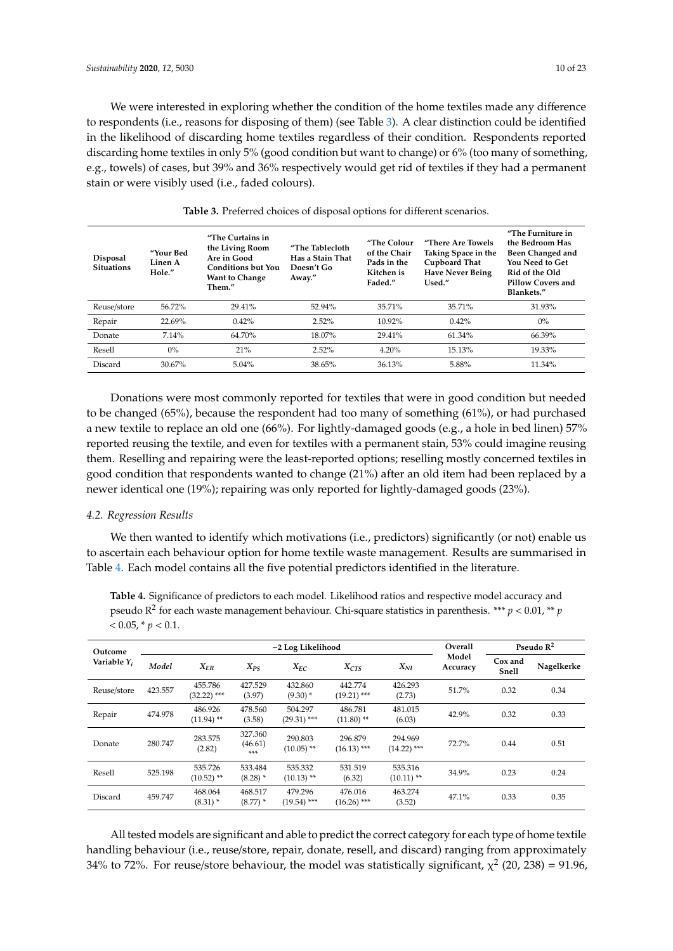We were interested in exploring whether the condition of the home textiles made any difference to respondents (i.e., reasons for disposing of them) (see Table [3\)](#page-9-0). A clear distinction could be identified in the likelihood of discarding home textiles regardless of their condition. Respondents reported discarding home textiles in only 5% (good condition but want to change) or 6% (too many of something, e.g., towels) of cases, but 39% and 36% respectively would get rid of textiles if they had a permanent stain or were visibly used (i.e., faded colours).

<span id="page-9-0"></span>

| <b>Disposal</b><br><b>Situations</b> | "Your Bed<br>Linen A<br>Hole." | "The Curtains in<br>the Living Room<br>Are in Good<br><b>Conditions but You</b><br><b>Want to Change</b><br>Them." | "The Tablecloth<br>Has a Stain That<br>Doesn't Go<br>Away." | "The Colour<br>of the Chair<br>Pads in the<br>Kitchen is<br>Faded." | "There Are Towels<br>Taking Space in the<br>Cupboard That<br><b>Have Never Being</b><br>Used." | "The Furniture in<br>the Bedroom Has<br>Been Changed and<br>You Need to Get<br>Rid of the Old<br><b>Pillow Covers and</b><br>Blankets." |  |
|--------------------------------------|--------------------------------|--------------------------------------------------------------------------------------------------------------------|-------------------------------------------------------------|---------------------------------------------------------------------|------------------------------------------------------------------------------------------------|-----------------------------------------------------------------------------------------------------------------------------------------|--|
| Reuse/store                          | 56.72%                         | 29.41%                                                                                                             | 52.94%                                                      | 35.71%                                                              | 35.71%                                                                                         | 31.93%                                                                                                                                  |  |
| Repair                               | 22.69%                         | 0.42%                                                                                                              | 2.52%                                                       | 10.92%                                                              | 0.42%                                                                                          | $0\%$                                                                                                                                   |  |
| Donate                               | 7.14%                          | 64.70%                                                                                                             | 18.07%                                                      | 29.41%                                                              | $61.34\%$                                                                                      | 66.39%                                                                                                                                  |  |
| Resell                               | $0\%$                          | 21%                                                                                                                | 2.52%                                                       | 4.20%                                                               | 15.13%                                                                                         | 19.33%                                                                                                                                  |  |
| Discard                              | 30.67%                         | 5.04%                                                                                                              | 38.65%                                                      | 36.13%                                                              | 5.88%                                                                                          | $11.34\%$                                                                                                                               |  |

**Table 3.** Preferred choices of disposal options for different scenarios.

Donations were most commonly reported for textiles that were in good condition but needed to be changed (65%), because the respondent had too many of something (61%), or had purchased a new textile to replace an old one (66%). For lightly-damaged goods (e.g., a hole in bed linen) 57% reported reusing the textile, and even for textiles with a permanent stain, 53% could imagine reusing them. Reselling and repairing were the least-reported options; reselling mostly concerned textiles in good condition that respondents wanted to change (21%) after an old item had been replaced by a newer identical one (19%); repairing was only reported for lightly-damaged goods (23%).

## *4.2. Regression Results*

We then wanted to identify which motivations (i.e., predictors) significantly (or not) enable us to ascertain each behaviour option for home textile waste management. Results are summarised in Table [4.](#page-9-1) Each model contains all the five potential predictors identified in the literature.

<span id="page-9-1"></span>**Table 4.** Significance of predictors to each model. Likelihood ratios and respective model accuracy and pseudo R<sup>2</sup> for each waste management behaviour. Chi-square statistics in parenthesis. \*\*\* *p* < 0.01, \*\* *p*  $< 0.05$ ,  $* p < 0.1$ .

| Outcome<br>Variable $Y_i$ |         | -2 Log Likelihood        |                           |                          |                                    |                          |                   | Pseudo $\mathbb{R}^2$   |            |
|---------------------------|---------|--------------------------|---------------------------|--------------------------|------------------------------------|--------------------------|-------------------|-------------------------|------------|
|                           | Model   | $X_{ER}$                 | $X_{PS}$                  | $X_{EC}$                 | X <sub>CTS</sub>                   | $X_{NI}$                 | Model<br>Accuracy | Cox and<br><b>Snell</b> | Nagelkerke |
| Reuse/store               | 423.557 | 455.786<br>$(32.22)$ *** | 427.529<br>(3.97)         | 432.860<br>$(9.30)$ *    | 442.774<br>$(19.21)$ ***           | 426.293<br>(2.73)        | 51.7%             | 0.32                    | 0.34       |
| Repair                    | 474.978 | 486.926<br>$(11.94)$ **  | 478.560<br>(3.58)         | 504.297<br>$(29.31)$ *** | 486.781<br>$(11.80)$ <sup>**</sup> | 481.015<br>(6.03)        | 42.9%             | 0.32                    | 0.33       |
| Donate                    | 280.747 | 283.575<br>(2.82)        | 327.360<br>(46.61)<br>*** | 290.803<br>$(10.05)$ **  | 296.879<br>$(16.13)$ ***           | 294.969<br>$(14.22)$ *** | 72.7%             | 0.44                    | 0.51       |
| Resell                    | 525.198 | 535.726<br>$(10.52)$ **  | 533.484<br>$(8.28)$ *     | 535.332<br>$(10.13)$ **  | 531.519<br>(6.32)                  | 535.316<br>$(10.11)$ **  | 34.9%             | 0.23                    | 0.24       |
| Discard                   | 459.747 | 468.064<br>$(8.31)$ *    | 468.517<br>$(8.77)$ *     | 479.296<br>$(19.54)$ *** | 476.016<br>$(16.26)$ ***           | 463.274<br>(3.52)        | 47.1%             | 0.33                    | 0.35       |

All tested models are significant and able to predict the correct category for each type of home textile handling behaviour (i.e., reuse/store, repair, donate, resell, and discard) ranging from approximately 34% to 72%. For reuse/store behaviour, the model was statistically significant,  $\chi^2$  (20, 238) = 91.96,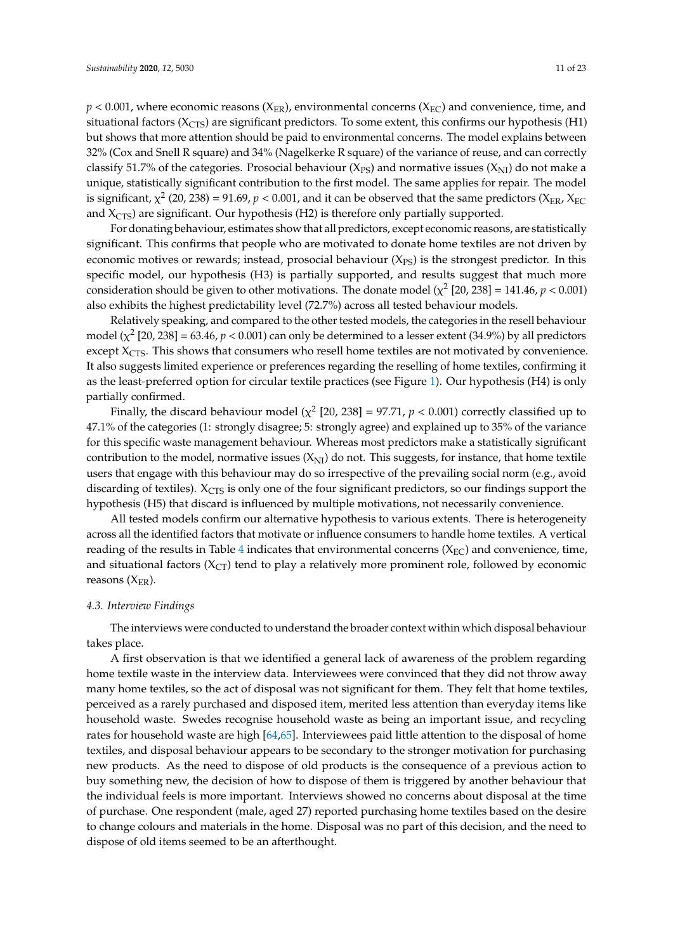$p < 0.001$ , where economic reasons ( $X_{\text{ER}}$ ), environmental concerns ( $X_{\text{EC}}$ ) and convenience, time, and situational factors ( $X<sub>CTS</sub>$ ) are significant predictors. To some extent, this confirms our hypothesis (H1) but shows that more attention should be paid to environmental concerns. The model explains between 32% (Cox and Snell R square) and 34% (Nagelkerke R square) of the variance of reuse, and can correctly classify 51.7% of the categories. Prosocial behaviour ( $X_{PS}$ ) and normative issues ( $X_{NI}$ ) do not make a unique, statistically significant contribution to the first model. The same applies for repair. The model is significant,  $\chi^2$  (20, 238) = 91.69,  $p < 0.001$ , and it can be observed that the same predictors (X<sub>ER</sub>, X<sub>EC</sub> and  $X<sub>CTS</sub>$ ) are significant. Our hypothesis (H2) is therefore only partially supported.

For donating behaviour, estimates show that all predictors, except economic reasons, are statistically significant. This confirms that people who are motivated to donate home textiles are not driven by economic motives or rewards; instead, prosocial behaviour  $(X_{PS})$  is the strongest predictor. In this specific model, our hypothesis (H3) is partially supported, and results suggest that much more consideration should be given to other motivations. The donate model  $(\chi^2 \, [20, 238] = 141.46, p < 0.001)$ also exhibits the highest predictability level (72.7%) across all tested behaviour models.

Relatively speaking, and compared to the other tested models, the categories in the resell behaviour model ( $\chi^2$  [20, 238] = 63.46,  $p < 0.001$ ) can only be determined to a lesser extent (34.9%) by all predictors except  $X<sub>CTS</sub>$ . This shows that consumers who resell home textiles are not motivated by convenience. It also suggests limited experience or preferences regarding the reselling of home textiles, confirming it as the least-preferred option for circular textile practices (see Figure [1\)](#page-8-0). Our hypothesis (H4) is only partially confirmed.

Finally, the discard behaviour model ( $\chi^2$  [20, 238] = 97.71,  $p < 0.001$ ) correctly classified up to 47.1% of the categories (1: strongly disagree; 5: strongly agree) and explained up to 35% of the variance for this specific waste management behaviour. Whereas most predictors make a statistically significant contribution to the model, normative issues  $(X_{\text{NI}})$  do not. This suggests, for instance, that home textile users that engage with this behaviour may do so irrespective of the prevailing social norm (e.g., avoid discarding of textiles).  $X<sub>CTS</sub>$  is only one of the four significant predictors, so our findings support the hypothesis (H5) that discard is influenced by multiple motivations, not necessarily convenience.

All tested models confirm our alternative hypothesis to various extents. There is heterogeneity across all the identified factors that motivate or influence consumers to handle home textiles. A vertical reading of the results in Table [4](#page-9-1) indicates that environmental concerns ( $X_{EC}$ ) and convenience, time, and situational factors  $(X_{CT})$  tend to play a relatively more prominent role, followed by economic reasons  $(X_{ER})$ .

#### *4.3. Interview Findings*

The interviews were conducted to understand the broader context within which disposal behaviour takes place.

A first observation is that we identified a general lack of awareness of the problem regarding home textile waste in the interview data. Interviewees were convinced that they did not throw away many home textiles, so the act of disposal was not significant for them. They felt that home textiles, perceived as a rarely purchased and disposed item, merited less attention than everyday items like household waste. Swedes recognise household waste as being an important issue, and recycling rates for household waste are high [\[64](#page-22-3)[,65\]](#page-22-4). Interviewees paid little attention to the disposal of home textiles, and disposal behaviour appears to be secondary to the stronger motivation for purchasing new products. As the need to dispose of old products is the consequence of a previous action to buy something new, the decision of how to dispose of them is triggered by another behaviour that the individual feels is more important. Interviews showed no concerns about disposal at the time of purchase. One respondent (male, aged 27) reported purchasing home textiles based on the desire to change colours and materials in the home. Disposal was no part of this decision, and the need to dispose of old items seemed to be an afterthought.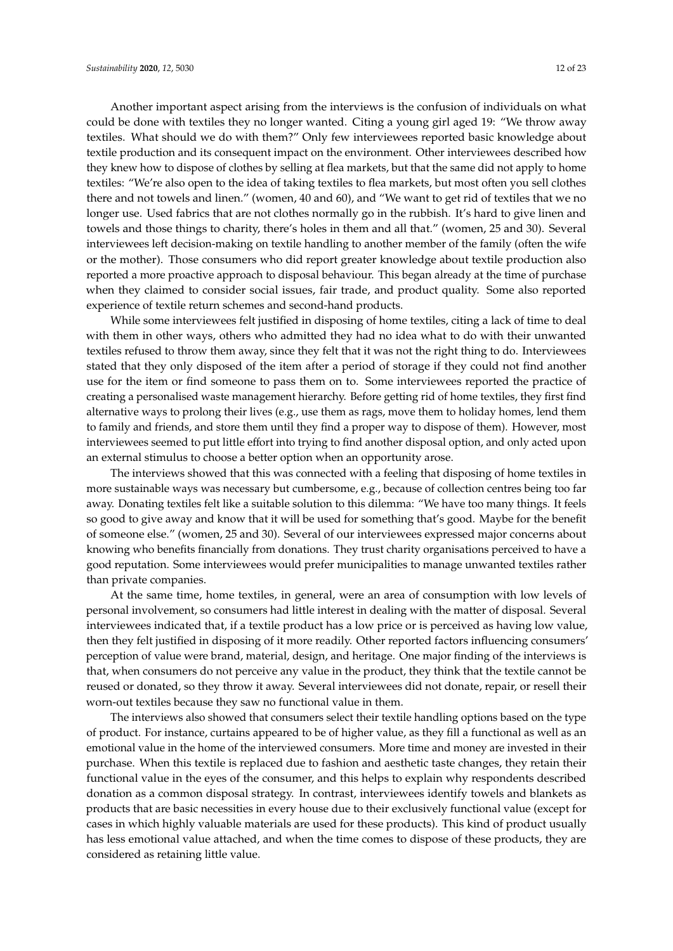Another important aspect arising from the interviews is the confusion of individuals on what could be done with textiles they no longer wanted. Citing a young girl aged 19: "We throw away textiles. What should we do with them?" Only few interviewees reported basic knowledge about textile production and its consequent impact on the environment. Other interviewees described how they knew how to dispose of clothes by selling at flea markets, but that the same did not apply to home textiles: "We're also open to the idea of taking textiles to flea markets, but most often you sell clothes there and not towels and linen." (women, 40 and 60), and "We want to get rid of textiles that we no longer use. Used fabrics that are not clothes normally go in the rubbish. It's hard to give linen and towels and those things to charity, there's holes in them and all that." (women, 25 and 30). Several interviewees left decision-making on textile handling to another member of the family (often the wife or the mother). Those consumers who did report greater knowledge about textile production also reported a more proactive approach to disposal behaviour. This began already at the time of purchase when they claimed to consider social issues, fair trade, and product quality. Some also reported experience of textile return schemes and second-hand products.

While some interviewees felt justified in disposing of home textiles, citing a lack of time to deal with them in other ways, others who admitted they had no idea what to do with their unwanted textiles refused to throw them away, since they felt that it was not the right thing to do. Interviewees stated that they only disposed of the item after a period of storage if they could not find another use for the item or find someone to pass them on to. Some interviewees reported the practice of creating a personalised waste management hierarchy. Before getting rid of home textiles, they first find alternative ways to prolong their lives (e.g., use them as rags, move them to holiday homes, lend them to family and friends, and store them until they find a proper way to dispose of them). However, most interviewees seemed to put little effort into trying to find another disposal option, and only acted upon an external stimulus to choose a better option when an opportunity arose.

The interviews showed that this was connected with a feeling that disposing of home textiles in more sustainable ways was necessary but cumbersome, e.g., because of collection centres being too far away. Donating textiles felt like a suitable solution to this dilemma: "We have too many things. It feels so good to give away and know that it will be used for something that's good. Maybe for the benefit of someone else." (women, 25 and 30). Several of our interviewees expressed major concerns about knowing who benefits financially from donations. They trust charity organisations perceived to have a good reputation. Some interviewees would prefer municipalities to manage unwanted textiles rather than private companies.

At the same time, home textiles, in general, were an area of consumption with low levels of personal involvement, so consumers had little interest in dealing with the matter of disposal. Several interviewees indicated that, if a textile product has a low price or is perceived as having low value, then they felt justified in disposing of it more readily. Other reported factors influencing consumers' perception of value were brand, material, design, and heritage. One major finding of the interviews is that, when consumers do not perceive any value in the product, they think that the textile cannot be reused or donated, so they throw it away. Several interviewees did not donate, repair, or resell their worn-out textiles because they saw no functional value in them.

The interviews also showed that consumers select their textile handling options based on the type of product. For instance, curtains appeared to be of higher value, as they fill a functional as well as an emotional value in the home of the interviewed consumers. More time and money are invested in their purchase. When this textile is replaced due to fashion and aesthetic taste changes, they retain their functional value in the eyes of the consumer, and this helps to explain why respondents described donation as a common disposal strategy. In contrast, interviewees identify towels and blankets as products that are basic necessities in every house due to their exclusively functional value (except for cases in which highly valuable materials are used for these products). This kind of product usually has less emotional value attached, and when the time comes to dispose of these products, they are considered as retaining little value.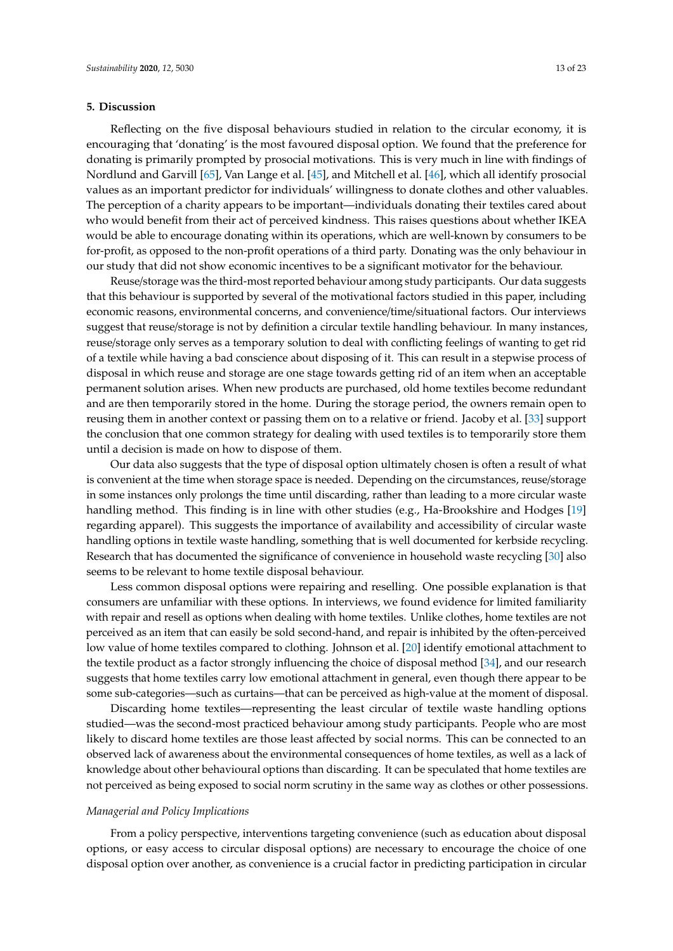## **5. Discussion**

Reflecting on the five disposal behaviours studied in relation to the circular economy, it is encouraging that 'donating' is the most favoured disposal option. We found that the preference for donating is primarily prompted by prosocial motivations. This is very much in line with findings of Nordlund and Garvill [\[65\]](#page-22-4), Van Lange et al. [\[45\]](#page-21-10), and Mitchell et al. [\[46\]](#page-21-11), which all identify prosocial values as an important predictor for individuals' willingness to donate clothes and other valuables. The perception of a charity appears to be important—individuals donating their textiles cared about who would benefit from their act of perceived kindness. This raises questions about whether IKEA would be able to encourage donating within its operations, which are well-known by consumers to be for-profit, as opposed to the non-profit operations of a third party. Donating was the only behaviour in our study that did not show economic incentives to be a significant motivator for the behaviour.

Reuse/storage was the third-most reported behaviour among study participants. Our data suggests that this behaviour is supported by several of the motivational factors studied in this paper, including economic reasons, environmental concerns, and convenience/time/situational factors. Our interviews suggest that reuse/storage is not by definition a circular textile handling behaviour. In many instances, reuse/storage only serves as a temporary solution to deal with conflicting feelings of wanting to get rid of a textile while having a bad conscience about disposing of it. This can result in a stepwise process of disposal in which reuse and storage are one stage towards getting rid of an item when an acceptable permanent solution arises. When new products are purchased, old home textiles become redundant and are then temporarily stored in the home. During the storage period, the owners remain open to reusing them in another context or passing them on to a relative or friend. Jacoby et al. [\[33\]](#page-20-8) support the conclusion that one common strategy for dealing with used textiles is to temporarily store them until a decision is made on how to dispose of them.

Our data also suggests that the type of disposal option ultimately chosen is often a result of what is convenient at the time when storage space is needed. Depending on the circumstances, reuse/storage in some instances only prolongs the time until discarding, rather than leading to a more circular waste handling method. This finding is in line with other studies (e.g., Ha-Brookshire and Hodges [\[19\]](#page-20-12) regarding apparel). This suggests the importance of availability and accessibility of circular waste handling options in textile waste handling, something that is well documented for kerbside recycling. Research that has documented the significance of convenience in household waste recycling [\[30\]](#page-20-14) also seems to be relevant to home textile disposal behaviour.

Less common disposal options were repairing and reselling. One possible explanation is that consumers are unfamiliar with these options. In interviews, we found evidence for limited familiarity with repair and resell as options when dealing with home textiles. Unlike clothes, home textiles are not perceived as an item that can easily be sold second-hand, and repair is inhibited by the often-perceived low value of home textiles compared to clothing. Johnson et al. [\[20\]](#page-20-11) identify emotional attachment to the textile product as a factor strongly influencing the choice of disposal method [\[34\]](#page-20-10), and our research suggests that home textiles carry low emotional attachment in general, even though there appear to be some sub-categories—such as curtains—that can be perceived as high-value at the moment of disposal.

Discarding home textiles—representing the least circular of textile waste handling options studied—was the second-most practiced behaviour among study participants. People who are most likely to discard home textiles are those least affected by social norms. This can be connected to an observed lack of awareness about the environmental consequences of home textiles, as well as a lack of knowledge about other behavioural options than discarding. It can be speculated that home textiles are not perceived as being exposed to social norm scrutiny in the same way as clothes or other possessions.

## *Managerial and Policy Implications*

From a policy perspective, interventions targeting convenience (such as education about disposal options, or easy access to circular disposal options) are necessary to encourage the choice of one disposal option over another, as convenience is a crucial factor in predicting participation in circular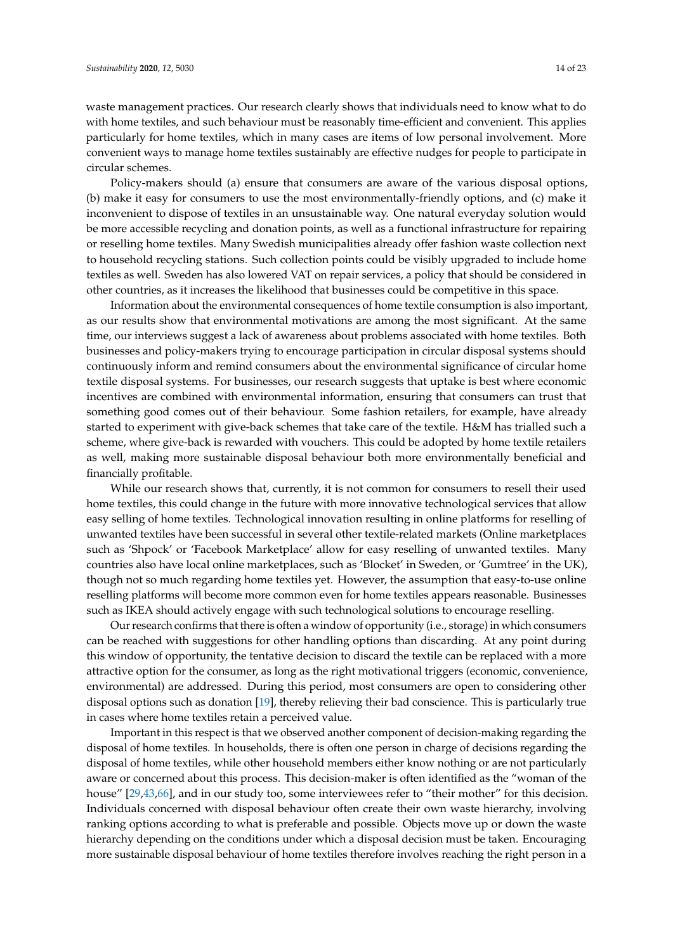waste management practices. Our research clearly shows that individuals need to know what to do with home textiles, and such behaviour must be reasonably time-efficient and convenient. This applies particularly for home textiles, which in many cases are items of low personal involvement. More convenient ways to manage home textiles sustainably are effective nudges for people to participate in circular schemes.

Policy-makers should (a) ensure that consumers are aware of the various disposal options, (b) make it easy for consumers to use the most environmentally-friendly options, and (c) make it inconvenient to dispose of textiles in an unsustainable way. One natural everyday solution would be more accessible recycling and donation points, as well as a functional infrastructure for repairing or reselling home textiles. Many Swedish municipalities already offer fashion waste collection next to household recycling stations. Such collection points could be visibly upgraded to include home textiles as well. Sweden has also lowered VAT on repair services, a policy that should be considered in other countries, as it increases the likelihood that businesses could be competitive in this space.

Information about the environmental consequences of home textile consumption is also important, as our results show that environmental motivations are among the most significant. At the same time, our interviews suggest a lack of awareness about problems associated with home textiles. Both businesses and policy-makers trying to encourage participation in circular disposal systems should continuously inform and remind consumers about the environmental significance of circular home textile disposal systems. For businesses, our research suggests that uptake is best where economic incentives are combined with environmental information, ensuring that consumers can trust that something good comes out of their behaviour. Some fashion retailers, for example, have already started to experiment with give-back schemes that take care of the textile. H&M has trialled such a scheme, where give-back is rewarded with vouchers. This could be adopted by home textile retailers as well, making more sustainable disposal behaviour both more environmentally beneficial and financially profitable.

While our research shows that, currently, it is not common for consumers to resell their used home textiles, this could change in the future with more innovative technological services that allow easy selling of home textiles. Technological innovation resulting in online platforms for reselling of unwanted textiles have been successful in several other textile-related markets (Online marketplaces such as 'Shpock' or 'Facebook Marketplace' allow for easy reselling of unwanted textiles. Many countries also have local online marketplaces, such as 'Blocket' in Sweden, or 'Gumtree' in the UK), though not so much regarding home textiles yet. However, the assumption that easy-to-use online reselling platforms will become more common even for home textiles appears reasonable. Businesses such as IKEA should actively engage with such technological solutions to encourage reselling.

Our research confirms that there is often a window of opportunity (i.e., storage) in which consumers can be reached with suggestions for other handling options than discarding. At any point during this window of opportunity, the tentative decision to discard the textile can be replaced with a more attractive option for the consumer, as long as the right motivational triggers (economic, convenience, environmental) are addressed. During this period, most consumers are open to considering other disposal options such as donation [\[19\]](#page-20-12), thereby relieving their bad conscience. This is particularly true in cases where home textiles retain a perceived value.

Important in this respect is that we observed another component of decision-making regarding the disposal of home textiles. In households, there is often one person in charge of decisions regarding the disposal of home textiles, while other household members either know nothing or are not particularly aware or concerned about this process. This decision-maker is often identified as the "woman of the house" [\[29](#page-20-24)[,43](#page-21-8)[,66\]](#page-22-5), and in our study too, some interviewees refer to "their mother" for this decision. Individuals concerned with disposal behaviour often create their own waste hierarchy, involving ranking options according to what is preferable and possible. Objects move up or down the waste hierarchy depending on the conditions under which a disposal decision must be taken. Encouraging more sustainable disposal behaviour of home textiles therefore involves reaching the right person in a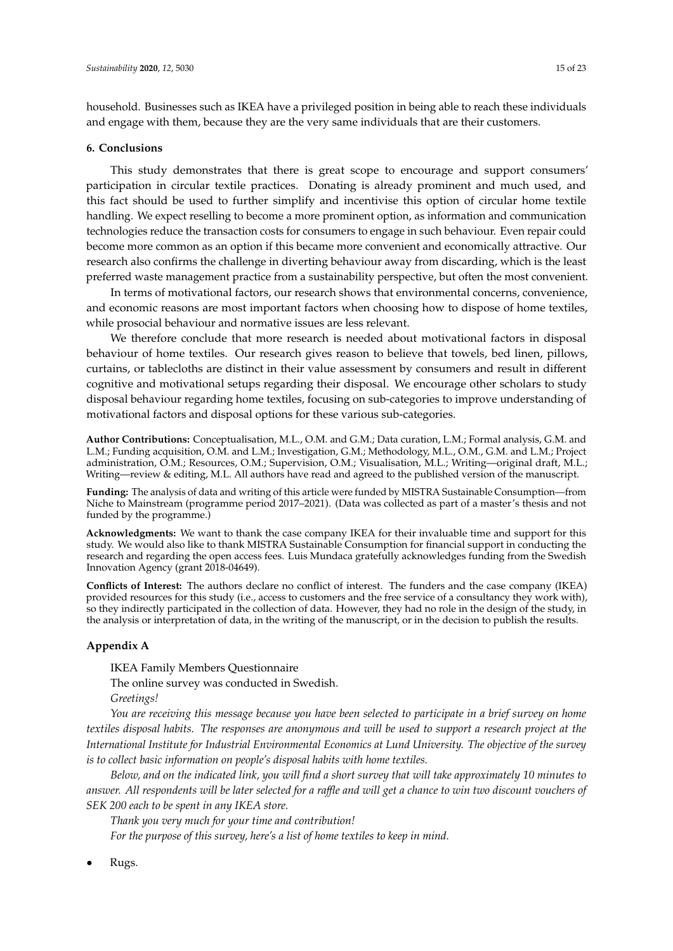household. Businesses such as IKEA have a privileged position in being able to reach these individuals and engage with them, because they are the very same individuals that are their customers.

## **6. Conclusions**

This study demonstrates that there is great scope to encourage and support consumers' participation in circular textile practices. Donating is already prominent and much used, and this fact should be used to further simplify and incentivise this option of circular home textile handling. We expect reselling to become a more prominent option, as information and communication technologies reduce the transaction costs for consumers to engage in such behaviour. Even repair could become more common as an option if this became more convenient and economically attractive. Our research also confirms the challenge in diverting behaviour away from discarding, which is the least preferred waste management practice from a sustainability perspective, but often the most convenient.

In terms of motivational factors, our research shows that environmental concerns, convenience, and economic reasons are most important factors when choosing how to dispose of home textiles, while prosocial behaviour and normative issues are less relevant.

We therefore conclude that more research is needed about motivational factors in disposal behaviour of home textiles. Our research gives reason to believe that towels, bed linen, pillows, curtains, or tablecloths are distinct in their value assessment by consumers and result in different cognitive and motivational setups regarding their disposal. We encourage other scholars to study disposal behaviour regarding home textiles, focusing on sub-categories to improve understanding of motivational factors and disposal options for these various sub-categories.

**Author Contributions:** Conceptualisation, M.L., O.M. and G.M.; Data curation, L.M.; Formal analysis, G.M. and L.M.; Funding acquisition, O.M. and L.M.; Investigation, G.M.; Methodology, M.L., O.M., G.M. and L.M.; Project administration, O.M.; Resources, O.M.; Supervision, O.M.; Visualisation, M.L.; Writing—original draft, M.L.; Writing—review & editing, M.L. All authors have read and agreed to the published version of the manuscript.

**Funding:** The analysis of data and writing of this article were funded by MISTRA Sustainable Consumption—from Niche to Mainstream (programme period 2017–2021). (Data was collected as part of a master's thesis and not funded by the programme.)

**Acknowledgments:** We want to thank the case company IKEA for their invaluable time and support for this study. We would also like to thank MISTRA Sustainable Consumption for financial support in conducting the research and regarding the open access fees. Luis Mundaca gratefully acknowledges funding from the Swedish Innovation Agency (grant 2018-04649).

**Conflicts of Interest:** The authors declare no conflict of interest. The funders and the case company (IKEA) provided resources for this study (i.e., access to customers and the free service of a consultancy they work with), so they indirectly participated in the collection of data. However, they had no role in the design of the study, in the analysis or interpretation of data, in the writing of the manuscript, or in the decision to publish the results.

## <span id="page-14-0"></span>**Appendix A**

IKEA Family Members Questionnaire

The online survey was conducted in Swedish.

*Greetings!*

*You are receiving this message because you have been selected to participate in a brief survey on home textiles disposal habits. The responses are anonymous and will be used to support a research project at the International Institute for Industrial Environmental Economics at Lund University. The objective of the survey is to collect basic information on people's disposal habits with home textiles.*

*Below, and on the indicated link, you will find a short survey that will take approximately 10 minutes to answer. All respondents will be later selected for a ra*ffl*e and will get a chance to win two discount vouchers of SEK 200 each to be spent in any IKEA store.*

*Thank you very much for your time and contribution!*

*For the purpose of this survey, here's a list of home textiles to keep in mind.*

• Rugs.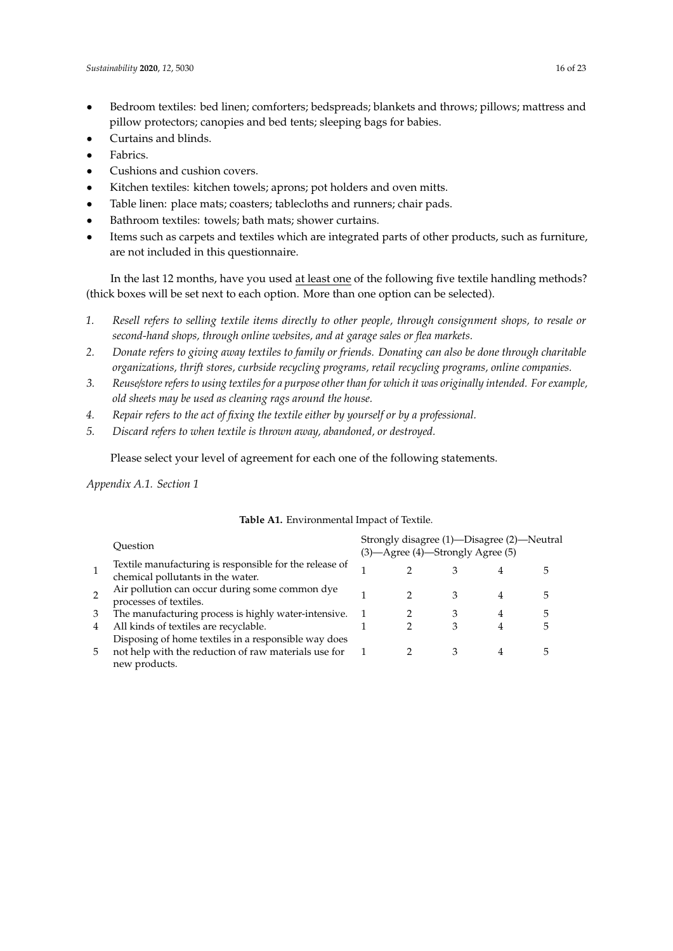- Bedroom textiles: bed linen; comforters; bedspreads; blankets and throws; pillows; mattress and pillow protectors; canopies and bed tents; sleeping bags for babies.
- Curtains and blinds.
- Fabrics.
- Cushions and cushion covers.
- Kitchen textiles: kitchen towels; aprons; pot holders and oven mitts.
- Table linen: place mats; coasters; tablecloths and runners; chair pads.
- Bathroom textiles: towels; bath mats; shower curtains.
- Items such as carpets and textiles which are integrated parts of other products, such as furniture, are not included in this questionnaire.

In the last 12 months, have you used at least one of the following five textile handling methods? (thick boxes will be set next to each option. More than one option can be selected).

- *1. Resell refers to selling textile items directly to other people, through consignment shops, to resale or second-hand shops, through online websites, and at garage sales or flea markets.*
- *2. Donate refers to giving away textiles to family or friends. Donating can also be done through charitable organizations, thrift stores, curbside recycling programs, retail recycling programs, online companies.*
- *3. Reuse*/*store refers to using textiles for a purpose other than for which it was originally intended. For example, old sheets may be used as cleaning rags around the house.*
- *4. Repair refers to the act of fixing the textile either by yourself or by a professional.*
- *5. Discard refers to when textile is thrown away, abandoned, or destroyed.*

Please select your level of agreement for each one of the following statements.

*Appendix A.1. Section 1*

|    | Ouestion                                                                                     | Strongly disagree (1)—Disagree (2)—Neutral<br>(3) - Agree (4) - Strongly Agree (5) |  |   |   |   |  |
|----|----------------------------------------------------------------------------------------------|------------------------------------------------------------------------------------|--|---|---|---|--|
|    | Textile manufacturing is responsible for the release of<br>chemical pollutants in the water. |                                                                                    |  |   |   |   |  |
|    | Air pollution can occur during some common dye<br>processes of textiles.                     |                                                                                    |  | З |   |   |  |
| 3  | The manufacturing process is highly water-intensive.                                         |                                                                                    |  |   | 4 | 5 |  |
| 4  | All kinds of textiles are recyclable.                                                        |                                                                                    |  |   | 4 | 5 |  |
|    | Disposing of home textiles in a responsible way does                                         |                                                                                    |  |   |   |   |  |
| 5. | not help with the reduction of raw materials use for<br>new products.                        |                                                                                    |  |   |   |   |  |

## **Table A1.** Environmental Impact of Textile.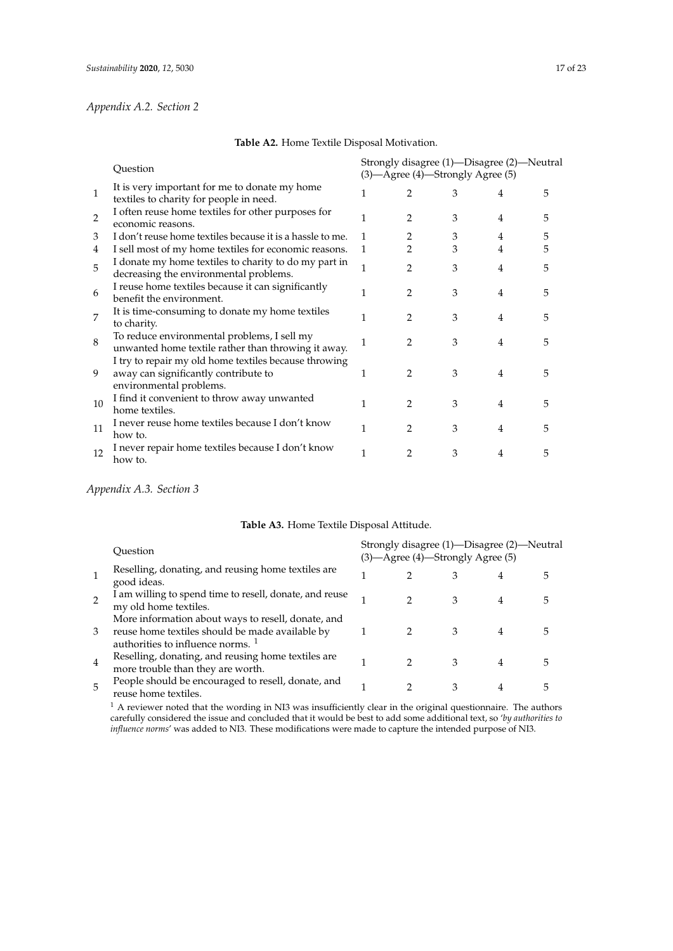## *Appendix A.2. Section 2*

|                | Question                                                                                                                 |   |                | (3) - Agree (4) - Strongly Agree (5) | Strongly disagree (1)—Disagree (2)—Neutral |   |
|----------------|--------------------------------------------------------------------------------------------------------------------------|---|----------------|--------------------------------------|--------------------------------------------|---|
| $\mathbf{1}$   | It is very important for me to donate my home<br>textiles to charity for people in need.                                 |   | 2              | 3                                    | 4                                          | 5 |
| $\overline{2}$ | I often reuse home textiles for other purposes for<br>economic reasons.                                                  |   | 2              | 3                                    | 4                                          | 5 |
| 3              | I don't reuse home textiles because it is a hassle to me.                                                                | 1 | 2              | 3                                    | 4                                          | 5 |
| 4              | I sell most of my home textiles for economic reasons.                                                                    | 1 | 2              | 3                                    | 4                                          | 5 |
| 5              | I donate my home textiles to charity to do my part in<br>decreasing the environmental problems.                          | 1 | $\mathfrak{D}$ | 3                                    | 4                                          | 5 |
| 6              | I reuse home textiles because it can significantly<br>benefit the environment.                                           |   | 2              | 3                                    | 4                                          | 5 |
| 7              | It is time-consuming to donate my home textiles<br>to charity.                                                           |   | 2              | 3                                    | 4                                          | 5 |
| 8              | To reduce environmental problems, I sell my<br>unwanted home textile rather than throwing it away.                       |   | $\mathfrak{D}$ | 3                                    | 4                                          | 5 |
| 9              | I try to repair my old home textiles because throwing<br>away can significantly contribute to<br>environmental problems. | 1 | 2              | 3                                    | 4                                          | 5 |
| 10             | I find it convenient to throw away unwanted<br>home textiles.                                                            |   | 2              | 3                                    | $\overline{4}$                             | 5 |
| 11             | I never reuse home textiles because I don't know<br>how to.                                                              | 1 | $\mathfrak{D}$ | 3                                    | $\overline{4}$                             |   |
| 12             | I never repair home textiles because I don't know<br>how to.                                                             | 1 | 2              | 3                                    | 4                                          | 5 |

## **Table A2.** Home Textile Disposal Motivation.

# *Appendix A.3. Section 3*

## **Table A3.** Home Textile Disposal Attitude.

|   | Ouestion                                                                                                                                              |               | (3)—Agree (4)—Strongly Agree (5) | Strongly disagree (1)—Disagree (2)—Neutral |  |
|---|-------------------------------------------------------------------------------------------------------------------------------------------------------|---------------|----------------------------------|--------------------------------------------|--|
|   | Reselling, donating, and reusing home textiles are<br>good ideas.                                                                                     |               |                                  | 4                                          |  |
|   | I am willing to spend time to resell, donate, and reuse<br>my old home textiles.                                                                      |               | 3                                | 4                                          |  |
| 3 | More information about ways to resell, donate, and<br>reuse home textiles should be made available by<br>authorities to influence norms. <sup>1</sup> |               | З                                |                                            |  |
| 4 | Reselling, donating, and reusing home textiles are<br>more trouble than they are worth.                                                               | $\mathcal{P}$ | З                                |                                            |  |
| 5 | People should be encouraged to resell, donate, and<br>reuse home textiles.                                                                            |               | 3                                | 4                                          |  |

 $<sup>1</sup>$  A reviewer noted that the wording in NI3 was insufficiently clear in the original questionnaire. The authors</sup> carefully considered the issue and concluded that it would be best to add some additional text, so '*by authorities to influence norms*' was added to NI3. These modifications were made to capture the intended purpose of NI3.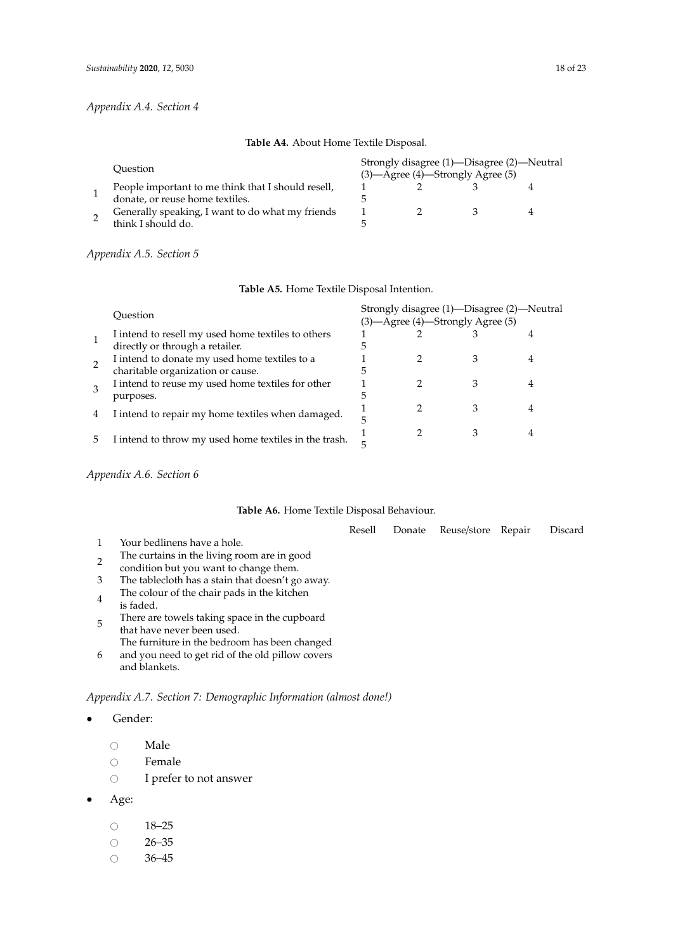## *Appendix A.4. Section 4*

## **Table A4.** About Home Textile Disposal.

|  | Ouestion                                           | Strongly disagree (1)—Disagree (2)—Neutral<br>$(3)$ —Agree $(4)$ —Strongly Agree $(5)$ |  |  |  |  |
|--|----------------------------------------------------|----------------------------------------------------------------------------------------|--|--|--|--|
|  | People important to me think that I should resell, |                                                                                        |  |  |  |  |
|  | donate, or reuse home textiles.                    |                                                                                        |  |  |  |  |
|  | Generally speaking, I want to do what my friends   |                                                                                        |  |  |  |  |
|  | think I should do.                                 |                                                                                        |  |  |  |  |

## *Appendix A.5. Section 5*

|    | Ouestion                                              | Strongly disagree (1)—Disagree (2)—Neutral<br>(3) - Agree (4) - Strongly Agree (5) |  |  |  |  |
|----|-------------------------------------------------------|------------------------------------------------------------------------------------|--|--|--|--|
|    | I intend to resell my used home textiles to others    |                                                                                    |  |  |  |  |
|    | directly or through a retailer.                       |                                                                                    |  |  |  |  |
|    | I intend to donate my used home textiles to a         |                                                                                    |  |  |  |  |
| 2  | charitable organization or cause.                     |                                                                                    |  |  |  |  |
|    | I intend to reuse my used home textiles for other     |                                                                                    |  |  |  |  |
|    | purposes.                                             |                                                                                    |  |  |  |  |
|    |                                                       |                                                                                    |  |  |  |  |
| 4  | I intend to repair my home textiles when damaged.     |                                                                                    |  |  |  |  |
|    |                                                       |                                                                                    |  |  |  |  |
| ۰, | I intend to throw my used home textiles in the trash. |                                                                                    |  |  |  |  |
|    |                                                       |                                                                                    |  |  |  |  |

# **Table A5.** Home Textile Disposal Intention.

*Appendix A.6. Section 6*

## **Table A6.** Home Textile Disposal Behaviour.

|                             | Resell | Donate Reuse/store Repair | Discard |
|-----------------------------|--------|---------------------------|---------|
| Your bedlinens have a hole. |        |                           |         |

- 2 The curtains in the living room are in good
- condition but you want to change them.
- 3 The tablecloth has a stain that doesn't go away.
- 4 The colour of the chair pads in the kitchen is faded.
- 5 There are towels taking space in the cupboard that have never been used.
- 6 The furniture in the bedroom has been changed and you need to get rid of the old pillow covers
- and blankets.

# *Appendix A.7. Section 7: Demographic Information (almost done!)*

- Gender:
	- $\circ$  Male
	- $\circ$  Female
	- I prefer to not answer
- Age:
	- $\circ$  18–25
	-
	- $\circ$  26–35<br> $\circ$  36–45 36–45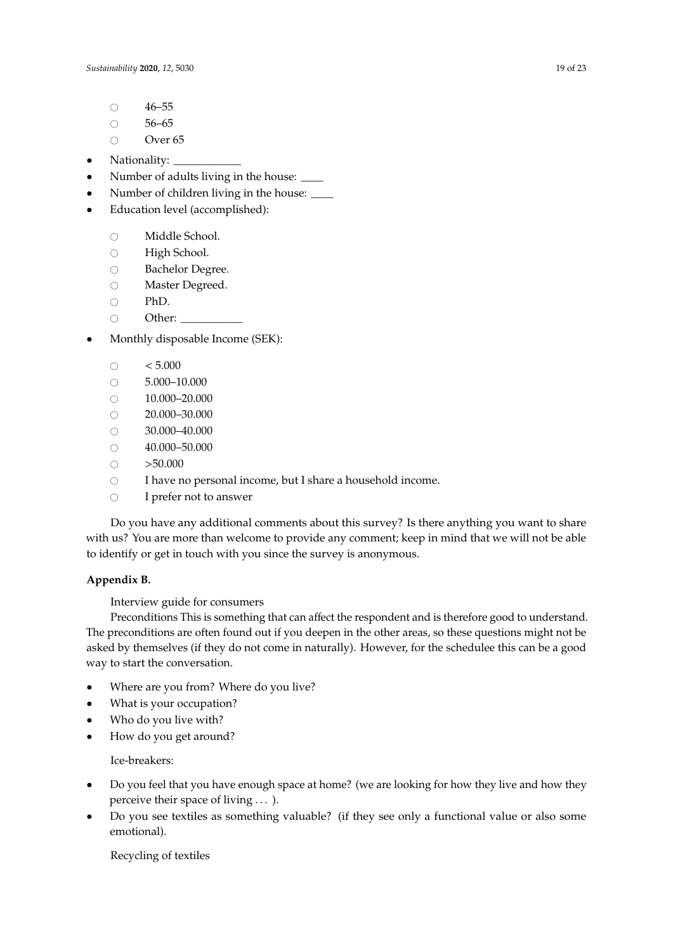- $\circ$  46–55
- $\circ$  56–65
- Over 65
- Nationality:  $\overline{\phantom{a}}$
- Number of adults living in the house:  $\frac{ }{ }$
- Number of children living in the house:  $\frac{ }{ }$
- Education level (accomplished):
	- Middle School.<br>○ High School.
	- O High School.<br>O Bachelor Deg
	- Bachelor Degree.<br>○ Master Degreed.
	- Master Degreed.<br>○ PhD.
	- $\circ$  PhD.<br> $\circ$  Other
	- Other:
- Monthly disposable Income (SEK):
	- $\circ$  < 5.000<br>  $\circ$  5.000-1
	- 5.000–10.000
	- $\circ$  10.000–20.000<br> $\circ$  20.000–30.000
	- $\circ$  20.000–30.000
	- $\circ$  30.000–40.000
	- $\circ$  40.000–50.000
	- $\circ$  >50.000
	- I have no personal income, but I share a household income.
	- $\circ$  I prefer not to answer

Do you have any additional comments about this survey? Is there anything you want to share with us? You are more than welcome to provide any comment; keep in mind that we will not be able to identify or get in touch with you since the survey is anonymous.

# <span id="page-18-0"></span>**Appendix B.**

Interview guide for consumers

Preconditions This is something that can affect the respondent and is therefore good to understand. The preconditions are often found out if you deepen in the other areas, so these questions might not be asked by themselves (if they do not come in naturally). However, for the schedulee this can be a good way to start the conversation.

- Where are you from? Where do you live?
- What is your occupation?
- Who do you live with?
- How do you get around?

Ice-breakers:

- Do you feel that you have enough space at home? (we are looking for how they live and how they perceive their space of living . . . ).
- Do you see textiles as something valuable? (if they see only a functional value or also some emotional).

Recycling of textiles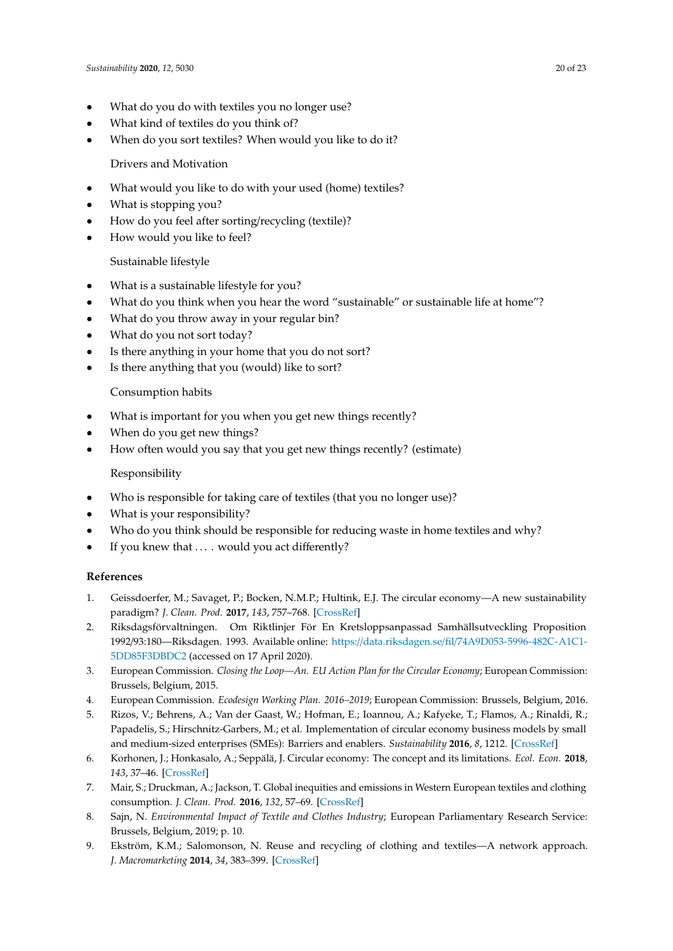- What do you do with textiles you no longer use?
- What kind of textiles do you think of?
- When do you sort textiles? When would you like to do it?

Drivers and Motivation

- What would you like to do with your used (home) textiles?
- What is stopping you?
- How do you feel after sorting/recycling (textile)?
- How would you like to feel?

# Sustainable lifestyle

- What is a sustainable lifestyle for you?
- What do you think when you hear the word "sustainable" or sustainable life at home"?
- What do you throw away in your regular bin?
- What do you not sort today?
- Is there anything in your home that you do not sort?
- Is there anything that you (would) like to sort?

# Consumption habits

- What is important for you when you get new things recently?
- When do you get new things?
- How often would you say that you get new things recently? (estimate)

## Responsibility

- Who is responsible for taking care of textiles (that you no longer use)?
- What is your responsibility?
- Who do you think should be responsible for reducing waste in home textiles and why?
- If you knew that  $\dots$  would you act differently?

## **References**

- <span id="page-19-0"></span>1. Geissdoerfer, M.; Savaget, P.; Bocken, N.M.P.; Hultink, E.J. The circular economy—A new sustainability paradigm? *J. Clean. Prod.* **2017**, *143*, 757–768. [\[CrossRef\]](http://dx.doi.org/10.1016/j.jclepro.2016.12.048)
- <span id="page-19-1"></span>2. Riksdagsförvaltningen. Om Riktlinjer För En Kretsloppsanpassad Samhällsutveckling Proposition 1992/93:180—Riksdagen. 1993. Available online: https://data.riksdagen.se/fil/[74A9D053-5996-482C-A1C1-](https://data.riksdagen.se/fil/74A9D053-5996-482C-A1C1-5DD85F3DBDC2) [5DD85F3DBDC2](https://data.riksdagen.se/fil/74A9D053-5996-482C-A1C1-5DD85F3DBDC2) (accessed on 17 April 2020).
- <span id="page-19-2"></span>3. European Commission. *Closing the Loop—An. EU Action Plan for the Circular Economy*; European Commission: Brussels, Belgium, 2015.
- <span id="page-19-3"></span>4. European Commission. *Ecodesign Working Plan. 2016–2019*; European Commission: Brussels, Belgium, 2016.
- <span id="page-19-4"></span>5. Rizos, V.; Behrens, A.; Van der Gaast, W.; Hofman, E.; Ioannou, A.; Kafyeke, T.; Flamos, A.; Rinaldi, R.; Papadelis, S.; Hirschnitz-Garbers, M.; et al. Implementation of circular economy business models by small and medium-sized enterprises (SMEs): Barriers and enablers. *Sustainability* **2016**, *8*, 1212. [\[CrossRef\]](http://dx.doi.org/10.3390/su8111212)
- <span id="page-19-5"></span>6. Korhonen, J.; Honkasalo, A.; Seppälä, J. Circular economy: The concept and its limitations. *Ecol. Econ.* **2018**, *143*, 37–46. [\[CrossRef\]](http://dx.doi.org/10.1016/j.ecolecon.2017.06.041)
- <span id="page-19-6"></span>7. Mair, S.; Druckman, A.; Jackson, T. Global inequities and emissions in Western European textiles and clothing consumption. *J. Clean. Prod.* **2016**, *132*, 57–69. [\[CrossRef\]](http://dx.doi.org/10.1016/j.jclepro.2015.08.082)
- <span id="page-19-7"></span>8. Sajn, N. *Environmental Impact of Textile and Clothes Industry*; European Parliamentary Research Service: Brussels, Belgium, 2019; p. 10.
- <span id="page-19-8"></span>9. Ekström, K.M.; Salomonson, N. Reuse and recycling of clothing and textiles—A network approach. *J. Macromarketing* **2014**, *34*, 383–399. [\[CrossRef\]](http://dx.doi.org/10.1177/0276146714529658)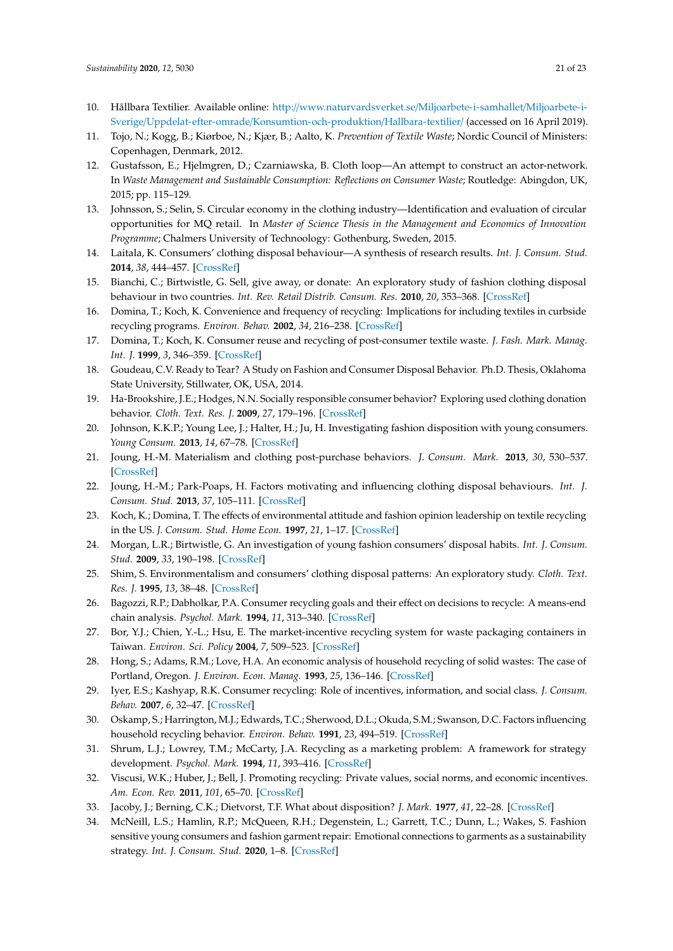- <span id="page-20-0"></span>10. Hållbara Textilier. Available online: http://[www.naturvardsverket.se](http://www.naturvardsverket.se/Miljoarbete-i-samhallet/Miljoarbete-i-Sverige/Uppdelat-efter-omrade/Konsumtion-och-produktion/Hallbara-textilier/)/Miljoarbete-i-samhallet/Miljoarbete-i-Sverige/Uppdelat-efter-omrade/[Konsumtion-och-produktion](http://www.naturvardsverket.se/Miljoarbete-i-samhallet/Miljoarbete-i-Sverige/Uppdelat-efter-omrade/Konsumtion-och-produktion/Hallbara-textilier/)/Hallbara-textilier/ (accessed on 16 April 2019).
- <span id="page-20-1"></span>11. Tojo, N.; Kogg, B.; Kiørboe, N.; Kjær, B.; Aalto, K. *Prevention of Textile Waste*; Nordic Council of Ministers: Copenhagen, Denmark, 2012.
- <span id="page-20-2"></span>12. Gustafsson, E.; Hjelmgren, D.; Czarniawska, B. Cloth loop—An attempt to construct an actor-network. In *Waste Management and Sustainable Consumption: Reflections on Consumer Waste*; Routledge: Abingdon, UK, 2015; pp. 115–129.
- <span id="page-20-3"></span>13. Johnsson, S.; Selin, S. Circular economy in the clothing industry—Identification and evaluation of circular opportunities for MQ retail. In *Master of Science Thesis in the Management and Economics of Innovation Programme*; Chalmers University of Technoology: Gothenburg, Sweden, 2015.
- <span id="page-20-4"></span>14. Laitala, K. Consumers' clothing disposal behaviour—A synthesis of research results. *Int. J. Consum. Stud.* **2014**, *38*, 444–457. [\[CrossRef\]](http://dx.doi.org/10.1111/ijcs.12088)
- <span id="page-20-16"></span>15. Bianchi, C.; Birtwistle, G. Sell, give away, or donate: An exploratory study of fashion clothing disposal behaviour in two countries. *Int. Rev. Retail Distrib. Consum. Res.* **2010**, *20*, 353–368. [\[CrossRef\]](http://dx.doi.org/10.1080/09593969.2010.491213)
- <span id="page-20-22"></span>16. Domina, T.; Koch, K. Convenience and frequency of recycling: Implications for including textiles in curbside recycling programs. *Environ. Behav.* **2002**, *34*, 216–238. [\[CrossRef\]](http://dx.doi.org/10.1177/0013916502342004)
- <span id="page-20-23"></span>17. Domina, T.; Koch, K. Consumer reuse and recycling of post-consumer textile waste. *J. Fash. Mark. Manag. Int. J.* **1999**, *3*, 346–359. [\[CrossRef\]](http://dx.doi.org/10.1108/eb022571)
- <span id="page-20-19"></span>18. Goudeau, C.V. Ready to Tear? A Study on Fashion and Consumer Disposal Behavior. Ph.D. Thesis, Oklahoma State University, Stillwater, OK, USA, 2014.
- <span id="page-20-12"></span>19. Ha-Brookshire, J.E.; Hodges, N.N. Socially responsible consumer behavior? Exploring used clothing donation behavior. *Cloth. Text. Res. J.* **2009**, *27*, 179–196. [\[CrossRef\]](http://dx.doi.org/10.1177/0887302X08327199)
- <span id="page-20-11"></span>20. Johnson, K.K.P.; Young Lee, J.; Halter, H.; Ju, H. Investigating fashion disposition with young consumers. *Young Consum.* **2013**, *14*, 67–78. [\[CrossRef\]](http://dx.doi.org/10.1108/17473611311305494)
- <span id="page-20-13"></span>21. Joung, H.-M. Materialism and clothing post-purchase behaviors. *J. Consum. Mark.* **2013**, *30*, 530–537. [\[CrossRef\]](http://dx.doi.org/10.1108/JCM-08-2013-0666)
- <span id="page-20-18"></span>22. Joung, H.-M.; Park-Poaps, H. Factors motivating and influencing clothing disposal behaviours. *Int. J. Consum. Stud.* **2013**, *37*, 105–111. [\[CrossRef\]](http://dx.doi.org/10.1111/j.1470-6431.2011.01048.x)
- <span id="page-20-15"></span>23. Koch, K.; Domina, T. The effects of environmental attitude and fashion opinion leadership on textile recycling in the US. *J. Consum. Stud. Home Econ.* **1997**, *21*, 1–17. [\[CrossRef\]](http://dx.doi.org/10.1111/j.1470-6431.1997.tb00265.x)
- <span id="page-20-9"></span>24. Morgan, L.R.; Birtwistle, G. An investigation of young fashion consumers' disposal habits. *Int. J. Consum. Stud.* **2009**, *33*, 190–198. [\[CrossRef\]](http://dx.doi.org/10.1111/j.1470-6431.2009.00756.x)
- <span id="page-20-5"></span>25. Shim, S. Environmentalism and consumers' clothing disposal patterns: An exploratory study. *Cloth. Text. Res. J.* **1995**, *13*, 38–48. [\[CrossRef\]](http://dx.doi.org/10.1177/0887302X9501300105)
- <span id="page-20-6"></span>26. Bagozzi, R.P.; Dabholkar, P.A. Consumer recycling goals and their effect on decisions to recycle: A means-end chain analysis. *Psychol. Mark.* **1994**, *11*, 313–340. [\[CrossRef\]](http://dx.doi.org/10.1002/mar.4220110403)
- <span id="page-20-20"></span>27. Bor, Y.J.; Chien, Y.-L.; Hsu, E. The market-incentive recycling system for waste packaging containers in Taiwan. *Environ. Sci. Policy* **2004**, *7*, 509–523. [\[CrossRef\]](http://dx.doi.org/10.1016/j.envsci.2004.07.002)
- <span id="page-20-21"></span>28. Hong, S.; Adams, R.M.; Love, H.A. An economic analysis of household recycling of solid wastes: The case of Portland, Oregon. *J. Environ. Econ. Manag.* **1993**, *25*, 136–146. [\[CrossRef\]](http://dx.doi.org/10.1006/jeem.1993.1038)
- <span id="page-20-24"></span>29. Iyer, E.S.; Kashyap, R.K. Consumer recycling: Role of incentives, information, and social class. *J. Consum. Behav.* **2007**, *6*, 32–47. [\[CrossRef\]](http://dx.doi.org/10.1002/cb.206)
- <span id="page-20-14"></span>30. Oskamp, S.; Harrington, M.J.; Edwards, T.C.; Sherwood, D.L.; Okuda, S.M.; Swanson, D.C. Factors influencing household recycling behavior. *Environ. Behav.* **1991**, *23*, 494–519. [\[CrossRef\]](http://dx.doi.org/10.1177/0013916591234005)
- <span id="page-20-17"></span>31. Shrum, L.J.; Lowrey, T.M.; McCarty, J.A. Recycling as a marketing problem: A framework for strategy development. *Psychol. Mark.* **1994**, *11*, 393–416. [\[CrossRef\]](http://dx.doi.org/10.1002/mar.4220110407)
- <span id="page-20-7"></span>32. Viscusi, W.K.; Huber, J.; Bell, J. Promoting recycling: Private values, social norms, and economic incentives. *Am. Econ. Rev.* **2011**, *101*, 65–70. [\[CrossRef\]](http://dx.doi.org/10.1257/aer.101.3.65)
- <span id="page-20-8"></span>33. Jacoby, J.; Berning, C.K.; Dietvorst, T.F. What about disposition? *J. Mark.* **1977**, *41*, 22–28. [\[CrossRef\]](http://dx.doi.org/10.1177/002224297704100212)
- <span id="page-20-10"></span>34. McNeill, L.S.; Hamlin, R.P.; McQueen, R.H.; Degenstein, L.; Garrett, T.C.; Dunn, L.; Wakes, S. Fashion sensitive young consumers and fashion garment repair: Emotional connections to garments as a sustainability strategy. *Int. J. Consum. Stud.* **2020**, 1–8. [\[CrossRef\]](http://dx.doi.org/10.1111/ijcs.12572)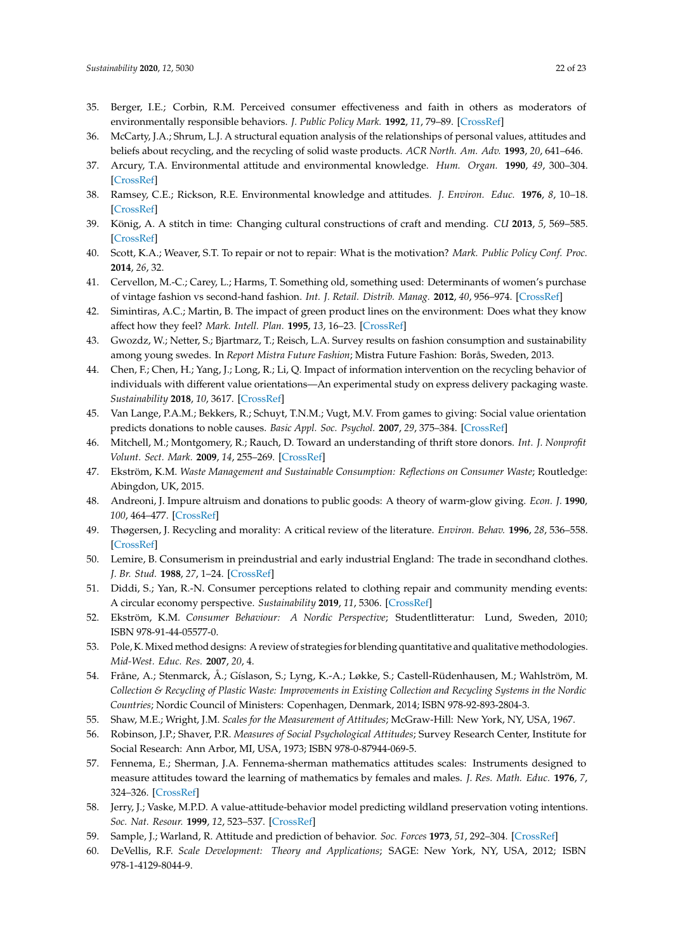- <span id="page-21-0"></span>35. Berger, I.E.; Corbin, R.M. Perceived consumer effectiveness and faith in others as moderators of environmentally responsible behaviors. *J. Public Policy Mark.* **1992**, *11*, 79–89. [\[CrossRef\]](http://dx.doi.org/10.1177/074391569201100208)
- <span id="page-21-1"></span>36. McCarty, J.A.; Shrum, L.J. A structural equation analysis of the relationships of personal values, attitudes and beliefs about recycling, and the recycling of solid waste products. *ACR North. Am. Adv.* **1993**, *20*, 641–646.
- <span id="page-21-2"></span>37. Arcury, T.A. Environmental attitude and environmental knowledge. *Hum. Organ.* **1990**, *49*, 300–304. [\[CrossRef\]](http://dx.doi.org/10.17730/humo.49.4.y6135676n433r880)
- <span id="page-21-3"></span>38. Ramsey, C.E.; Rickson, R.E. Environmental knowledge and attitudes. *J. Environ. Educ.* **1976**, *8*, 10–18. [\[CrossRef\]](http://dx.doi.org/10.1080/00958964.1976.9941552)
- <span id="page-21-4"></span>39. König, A. A stitch in time: Changing cultural constructions of craft and mending. *CU* **2013**, *5*, 569–585. [\[CrossRef\]](http://dx.doi.org/10.3384/cu.2000.1525.135569)
- <span id="page-21-5"></span>40. Scott, K.A.; Weaver, S.T. To repair or not to repair: What is the motivation? *Mark. Public Policy Conf. Proc.* **2014**, *26*, 32.
- <span id="page-21-6"></span>41. Cervellon, M.-C.; Carey, L.; Harms, T. Something old, something used: Determinants of women's purchase of vintage fashion vs second-hand fashion. *Int. J. Retail. Distrib. Manag.* **2012**, *40*, 956–974. [\[CrossRef\]](http://dx.doi.org/10.1108/09590551211274946)
- <span id="page-21-7"></span>42. Simintiras, A.C.; Martin, B. The impact of green product lines on the environment: Does what they know affect how they feel? *Mark. Intell. Plan.* **1995**, *13*, 16–23. [\[CrossRef\]](http://dx.doi.org/10.1108/02634509510088991)
- <span id="page-21-8"></span>43. Gwozdz, W.; Netter, S.; Bjartmarz, T.; Reisch, L.A. Survey results on fashion consumption and sustainability among young swedes. In *Report Mistra Future Fashion*; Mistra Future Fashion: Borås, Sweden, 2013.
- <span id="page-21-9"></span>44. Chen, F.; Chen, H.; Yang, J.; Long, R.; Li, Q. Impact of information intervention on the recycling behavior of individuals with different value orientations—An experimental study on express delivery packaging waste. *Sustainability* **2018**, *10*, 3617. [\[CrossRef\]](http://dx.doi.org/10.3390/su10103617)
- <span id="page-21-10"></span>45. Van Lange, P.A.M.; Bekkers, R.; Schuyt, T.N.M.; Vugt, M.V. From games to giving: Social value orientation predicts donations to noble causes. *Basic Appl. Soc. Psychol.* **2007**, *29*, 375–384. [\[CrossRef\]](http://dx.doi.org/10.1080/01973530701665223)
- <span id="page-21-11"></span>46. Mitchell, M.; Montgomery, R.; Rauch, D. Toward an understanding of thrift store donors. *Int. J. Nonprofit Volunt. Sect. Mark.* **2009**, *14*, 255–269. [\[CrossRef\]](http://dx.doi.org/10.1002/nvsm.360)
- <span id="page-21-12"></span>47. Ekström, K.M. *Waste Management and Sustainable Consumption: Reflections on Consumer Waste*; Routledge: Abingdon, UK, 2015.
- <span id="page-21-13"></span>48. Andreoni, J. Impure altruism and donations to public goods: A theory of warm-glow giving. *Econ. J.* **1990**, *100*, 464–477. [\[CrossRef\]](http://dx.doi.org/10.2307/2234133)
- <span id="page-21-14"></span>49. Thøgersen, J. Recycling and morality: A critical review of the literature. *Environ. Behav.* **1996**, *28*, 536–558. [\[CrossRef\]](http://dx.doi.org/10.1177/0013916596284006)
- <span id="page-21-15"></span>50. Lemire, B. Consumerism in preindustrial and early industrial England: The trade in secondhand clothes. *J. Br. Stud.* **1988**, *27*, 1–24. [\[CrossRef\]](http://dx.doi.org/10.1086/385902)
- <span id="page-21-16"></span>51. Diddi, S.; Yan, R.-N. Consumer perceptions related to clothing repair and community mending events: A circular economy perspective. *Sustainability* **2019**, *11*, 5306. [\[CrossRef\]](http://dx.doi.org/10.3390/su11195306)
- <span id="page-21-17"></span>52. Ekström, K.M. *Consumer Behaviour: A Nordic Perspective*; Studentlitteratur: Lund, Sweden, 2010; ISBN 978-91-44-05577-0.
- <span id="page-21-18"></span>53. Pole, K.Mixed method designs: A review of strategies for blending quantitative and qualitative methodologies. *Mid-West. Educ. Res.* **2007**, *20*, 4.
- <span id="page-21-19"></span>54. Fråne, A.; Stenmarck, Å.; Gíslason, S.; Lyng, K.-A.; Løkke, S.; Castell-Rüdenhausen, M.; Wahlström, M. *Collection & Recycling of Plastic Waste: Improvements in Existing Collection and Recycling Systems in the Nordic Countries*; Nordic Council of Ministers: Copenhagen, Denmark, 2014; ISBN 978-92-893-2804-3.
- <span id="page-21-20"></span>55. Shaw, M.E.; Wright, J.M. *Scales for the Measurement of Attitudes*; McGraw-Hill: New York, NY, USA, 1967.
- <span id="page-21-21"></span>56. Robinson, J.P.; Shaver, P.R. *Measures of Social Psychological Attitudes*; Survey Research Center, Institute for Social Research: Ann Arbor, MI, USA, 1973; ISBN 978-0-87944-069-5.
- <span id="page-21-22"></span>57. Fennema, E.; Sherman, J.A. Fennema-sherman mathematics attitudes scales: Instruments designed to measure attitudes toward the learning of mathematics by females and males. *J. Res. Math. Educ.* **1976**, *7*, 324–326. [\[CrossRef\]](http://dx.doi.org/10.2307/748467)
- 58. Jerry, J.; Vaske, M.P.D. A value-attitude-behavior model predicting wildland preservation voting intentions. *Soc. Nat. Resour.* **1999**, *12*, 523–537. [\[CrossRef\]](http://dx.doi.org/10.1080/089419299279425)
- <span id="page-21-23"></span>59. Sample, J.; Warland, R. Attitude and prediction of behavior. *Soc. Forces* **1973**, *51*, 292–304. [\[CrossRef\]](http://dx.doi.org/10.2307/2577135)
- <span id="page-21-24"></span>60. DeVellis, R.F. *Scale Development: Theory and Applications*; SAGE: New York, NY, USA, 2012; ISBN 978-1-4129-8044-9.